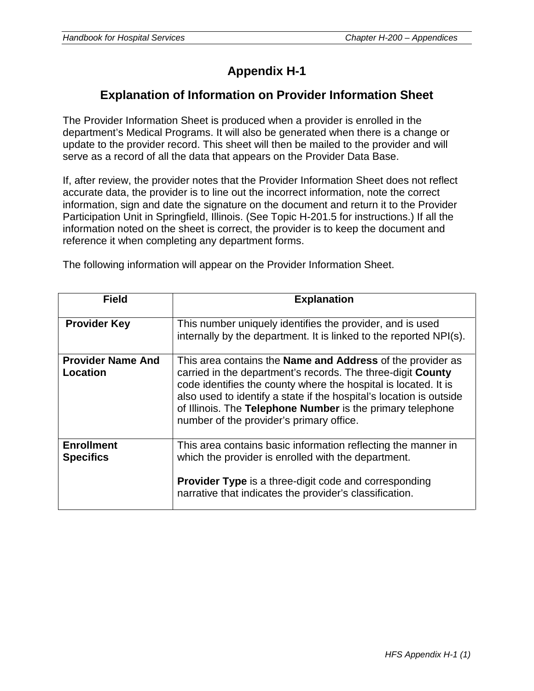# **Appendix H-1**

## **Explanation of Information on Provider Information Sheet**

The Provider Information Sheet is produced when a provider is enrolled in the department's Medical Programs. It will also be generated when there is a change or update to the provider record. This sheet will then be mailed to the provider and will serve as a record of all the data that appears on the Provider Data Base.

If, after review, the provider notes that the Provider Information Sheet does not reflect accurate data, the provider is to line out the incorrect information, note the correct information, sign and date the signature on the document and return it to the Provider Participation Unit in Springfield, Illinois. (See Topic H-201.5 for instructions.) If all the information noted on the sheet is correct, the provider is to keep the document and reference it when completing any department forms.

| The following information will appear on the Provider Information Sheet. |  |  |  |
|--------------------------------------------------------------------------|--|--|--|
|--------------------------------------------------------------------------|--|--|--|

| <b>Field</b>                          | <b>Explanation</b>                                                                                                                                                                                                                                                                                                                                                                   |
|---------------------------------------|--------------------------------------------------------------------------------------------------------------------------------------------------------------------------------------------------------------------------------------------------------------------------------------------------------------------------------------------------------------------------------------|
| <b>Provider Key</b>                   | This number uniquely identifies the provider, and is used<br>internally by the department. It is linked to the reported NPI(s).                                                                                                                                                                                                                                                      |
| <b>Provider Name And</b><br>Location  | This area contains the <b>Name and Address</b> of the provider as<br>carried in the department's records. The three-digit County<br>code identifies the county where the hospital is located. It is<br>also used to identify a state if the hospital's location is outside<br>of Illinois. The Telephone Number is the primary telephone<br>number of the provider's primary office. |
| <b>Enrollment</b><br><b>Specifics</b> | This area contains basic information reflecting the manner in<br>which the provider is enrolled with the department.<br><b>Provider Type</b> is a three-digit code and corresponding<br>narrative that indicates the provider's classification.                                                                                                                                      |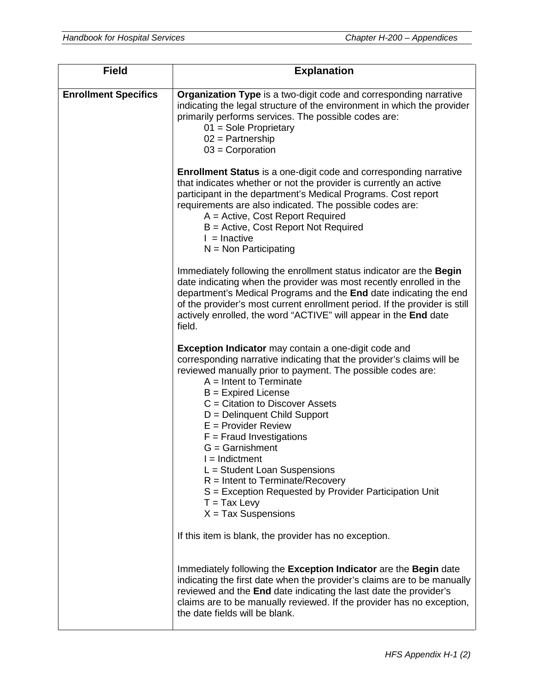| <b>Field</b>                | <b>Explanation</b>                                                                                                                                                                                                                                                                                                                                                                                                                                                                                                                                                                                        |
|-----------------------------|-----------------------------------------------------------------------------------------------------------------------------------------------------------------------------------------------------------------------------------------------------------------------------------------------------------------------------------------------------------------------------------------------------------------------------------------------------------------------------------------------------------------------------------------------------------------------------------------------------------|
| <b>Enrollment Specifics</b> | Organization Type is a two-digit code and corresponding narrative<br>indicating the legal structure of the environment in which the provider<br>primarily performs services. The possible codes are:<br>$01 =$ Sole Proprietary<br>$02$ = Partnership<br>$03$ = Corporation                                                                                                                                                                                                                                                                                                                               |
|                             | <b>Enrollment Status</b> is a one-digit code and corresponding narrative<br>that indicates whether or not the provider is currently an active<br>participant in the department's Medical Programs. Cost report<br>requirements are also indicated. The possible codes are:<br>A = Active, Cost Report Required<br>B = Active, Cost Report Not Required<br>$l =$ Inactive<br>$N = Non Participating$                                                                                                                                                                                                       |
|                             | Immediately following the enrollment status indicator are the Begin<br>date indicating when the provider was most recently enrolled in the<br>department's Medical Programs and the End date indicating the end<br>of the provider's most current enrollment period. If the provider is still<br>actively enrolled, the word "ACTIVE" will appear in the End date<br>field.                                                                                                                                                                                                                               |
|                             | <b>Exception Indicator</b> may contain a one-digit code and<br>corresponding narrative indicating that the provider's claims will be<br>reviewed manually prior to payment. The possible codes are:<br>$A =$ Intent to Terminate<br>$B =$ Expired License<br>$C =$ Citation to Discover Assets<br>D = Delinquent Child Support<br>$E =$ Provider Review<br>$F =$ Fraud Investigations<br>$G =$ Garnishment<br>$I = Indictment$<br>L = Student Loan Suspensions<br>$R =$ Intent to Terminate/Recovery<br>S = Exception Requested by Provider Participation Unit<br>$T = Tax Levy$<br>$X = Tax$ Suspensions |
|                             | If this item is blank, the provider has no exception.                                                                                                                                                                                                                                                                                                                                                                                                                                                                                                                                                     |
|                             | Immediately following the Exception Indicator are the Begin date<br>indicating the first date when the provider's claims are to be manually<br>reviewed and the End date indicating the last date the provider's<br>claims are to be manually reviewed. If the provider has no exception,<br>the date fields will be blank.                                                                                                                                                                                                                                                                               |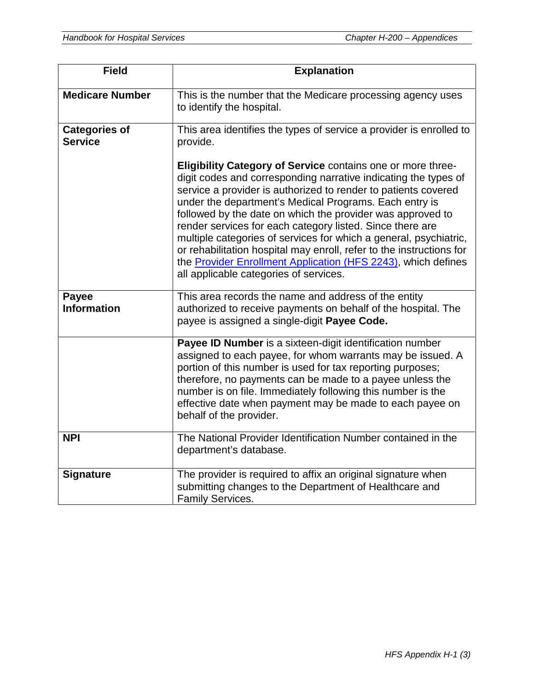| <b>Field</b>                           | <b>Explanation</b>                                                                                                                                                                                                                                                                                                                                                                                                                                                                                                                                                                                                                            |
|----------------------------------------|-----------------------------------------------------------------------------------------------------------------------------------------------------------------------------------------------------------------------------------------------------------------------------------------------------------------------------------------------------------------------------------------------------------------------------------------------------------------------------------------------------------------------------------------------------------------------------------------------------------------------------------------------|
| <b>Medicare Number</b>                 | This is the number that the Medicare processing agency uses<br>to identify the hospital.                                                                                                                                                                                                                                                                                                                                                                                                                                                                                                                                                      |
| <b>Categories of</b><br><b>Service</b> | This area identifies the types of service a provider is enrolled to<br>provide.                                                                                                                                                                                                                                                                                                                                                                                                                                                                                                                                                               |
|                                        | Eligibility Category of Service contains one or more three-<br>digit codes and corresponding narrative indicating the types of<br>service a provider is authorized to render to patients covered<br>under the department's Medical Programs. Each entry is<br>followed by the date on which the provider was approved to<br>render services for each category listed. Since there are<br>multiple categories of services for which a general, psychiatric,<br>or rehabilitation hospital may enroll, refer to the instructions for<br>the Provider Enrollment Application (HFS 2243), which defines<br>all applicable categories of services. |
| Payee<br><b>Information</b>            | This area records the name and address of the entity<br>authorized to receive payments on behalf of the hospital. The<br>payee is assigned a single-digit Payee Code.                                                                                                                                                                                                                                                                                                                                                                                                                                                                         |
|                                        | Payee ID Number is a sixteen-digit identification number<br>assigned to each payee, for whom warrants may be issued. A<br>portion of this number is used for tax reporting purposes;<br>therefore, no payments can be made to a payee unless the<br>number is on file. Immediately following this number is the<br>effective date when payment may be made to each payee on<br>behalf of the provider.                                                                                                                                                                                                                                        |
| <b>NPI</b>                             | The National Provider Identification Number contained in the<br>department's database.                                                                                                                                                                                                                                                                                                                                                                                                                                                                                                                                                        |
| <b>Signature</b>                       | The provider is required to affix an original signature when<br>submitting changes to the Department of Healthcare and<br>Family Services.                                                                                                                                                                                                                                                                                                                                                                                                                                                                                                    |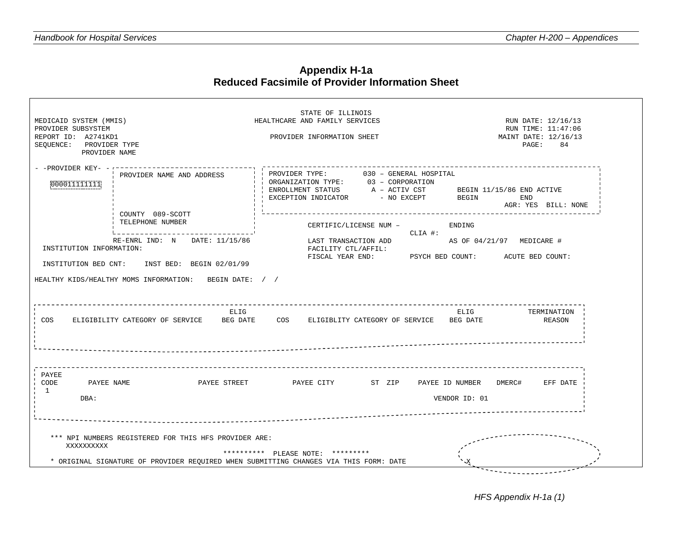#### **Appendix H-1a Reduced Facsimile of Provider Information Sheet**

| STATE OF ILLINOIS<br>MEDICAID SYSTEM (MMIS)<br>HEALTHCARE AND FAMILY SERVICES<br>RUN DATE: 12/16/13<br>PROVIDER SUBSYSTEM<br>RUN TIME: 11:47:06<br>REPORT ID: A2741KD1<br>MAINT DATE: 12/16/13<br>PROVIDER INFORMATION SHEET<br>SEQUENCE: PROVIDER TYPE<br>$\mathtt{PAGE}$ :<br>84<br>PROVIDER NAME                                    |
|----------------------------------------------------------------------------------------------------------------------------------------------------------------------------------------------------------------------------------------------------------------------------------------------------------------------------------------|
| - -PROVIDER KEY- -<br>PROVIDER TYPE: 030 - GENERAL HOSPITAL<br>PROVIDER NAME AND ADDRESS<br>ORGANIZATION TYPE: 03 - CORPORATION<br>000011111111<br>ENROLLMENT STATUS A - ACTIV CST<br>BEGIN 11/15/86 END ACTIVE<br>EXCEPTION INDICATOR<br>- NO EXCEPT<br>BEGIN<br>END<br>AGR: YES BILL: NONE                                           |
| COUNTY 089-SCOTT<br>TELEPHONE NUMBER<br>CERTIFIC/LICENSE NUM -<br>ENDING<br>CLIA #:<br>RE-ENRL IND: N DATE: 11/15/86<br>LAST TRANSACTION ADD<br>AS OF 04/21/97 MEDICARE #<br>INSTITUTION INFORMATION:<br>FACILITY CTL/AFFIL:<br>FISCAL YEAR END: PSYCH BED COUNT: ACUTE BED COUNT:<br>INSTITUTION BED CNT:<br>INST BED: BEGIN 02/01/99 |
| HEALTHY KIDS/HEALTHY MOMS INFORMATION: BEGIN DATE: / /<br>ELIG<br>ELIG<br>TERMINATION<br><b>COS</b><br>ELIGIBILITY CATEGORY OF SERVICE<br>BEG DATE<br>COS<br>ELIGIBLITY CATEGORY OF SERVICE BEG DATE<br>REASON                                                                                                                         |
| PAYEE<br>CODE<br>PAYEE NAME<br>PAYEE STREET PAYEE CITY<br>ST ZIP<br>PAYEE ID NUMBER DMERC#<br>EFF DATE<br>$\mathbf{1}$<br>DBA:<br>VENDOR ID: 01                                                                                                                                                                                        |
| *** NPI NUMBERS REGISTERED FOR THIS HFS PROVIDER ARE:<br>XXXXXXXXXX<br>********** PLEASE NOTE: *********<br>* ORIGINAL SIGNATURE OF PROVIDER REOUIRED WHEN SUBMITTING CHANGES VIA THIS FORM: DATE                                                                                                                                      |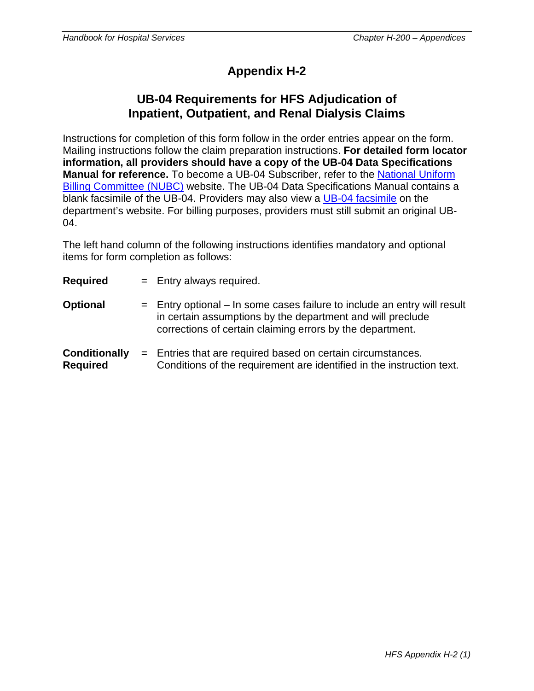# **Appendix H-2**

## **UB-04 Requirements for HFS Adjudication of Inpatient, Outpatient, and Renal Dialysis Claims**

Instructions for completion of this form follow in the order entries appear on the form. Mailing instructions follow the claim preparation instructions. **For detailed form locator information, all providers should have a copy of the UB-04 Data Specifications Manual for reference.** To become a UB-04 Subscriber, refer to the [National Uniform](http://www.nubc.org/become.html)  [Billing Committee \(NUBC\)](http://www.nubc.org/become.html) website. The UB-04 Data Specifications Manual contains a blank facsimile of the UB-04. Providers may also view a [UB-04 facsimile](http://www.illinois.gov/hfs/SiteCollectionDocuments/123008renal.pdf) on the department's website. For billing purposes, providers must still submit an original UB-04.

The left hand column of the following instructions identifies mandatory and optional items for form completion as follows:

| Required | $=$ $\overline{ }$ | Entry always required. |  |
|----------|--------------------|------------------------|--|
|----------|--------------------|------------------------|--|

- **Optional**  $=$  Entry optional In some cases failure to include an entry will result in certain assumptions by the department and will preclude corrections of certain claiming errors by the department.
- **Conditionally** = Entries that are required based on certain circumstances. **Required** Conditions of the requirement are identified in the instruction text.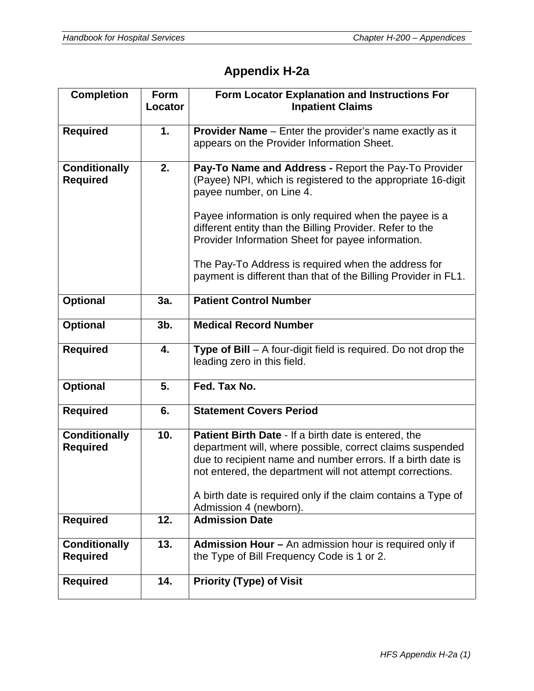# **Appendix H-2a**

| <b>Completion</b>                       | Form<br>Locator | Form Locator Explanation and Instructions For<br><b>Inpatient Claims</b>                                                                                                                                                                                                                                                                                                                                                                             |
|-----------------------------------------|-----------------|------------------------------------------------------------------------------------------------------------------------------------------------------------------------------------------------------------------------------------------------------------------------------------------------------------------------------------------------------------------------------------------------------------------------------------------------------|
| <b>Required</b>                         | 1.              | <b>Provider Name</b> - Enter the provider's name exactly as it<br>appears on the Provider Information Sheet.                                                                                                                                                                                                                                                                                                                                         |
| <b>Conditionally</b><br><b>Required</b> | 2.              | Pay-To Name and Address - Report the Pay-To Provider<br>(Payee) NPI, which is registered to the appropriate 16-digit<br>payee number, on Line 4.<br>Payee information is only required when the payee is a<br>different entity than the Billing Provider. Refer to the<br>Provider Information Sheet for payee information.<br>The Pay-To Address is required when the address for<br>payment is different than that of the Billing Provider in FL1. |
| <b>Optional</b>                         | 3a.             | <b>Patient Control Number</b>                                                                                                                                                                                                                                                                                                                                                                                                                        |
| <b>Optional</b>                         | $3b$ .          | <b>Medical Record Number</b>                                                                                                                                                                                                                                                                                                                                                                                                                         |
| <b>Required</b>                         | 4.              | <b>Type of Bill</b> $-$ A four-digit field is required. Do not drop the<br>leading zero in this field.                                                                                                                                                                                                                                                                                                                                               |
| <b>Optional</b>                         | 5.              | Fed. Tax No.                                                                                                                                                                                                                                                                                                                                                                                                                                         |
| <b>Required</b>                         | 6.              | <b>Statement Covers Period</b>                                                                                                                                                                                                                                                                                                                                                                                                                       |
| <b>Conditionally</b><br><b>Required</b> | 10.             | Patient Birth Date - If a birth date is entered, the<br>department will, where possible, correct claims suspended<br>due to recipient name and number errors. If a birth date is<br>not entered, the department will not attempt corrections.<br>A birth date is required only if the claim contains a Type of<br>Admission 4 (newborn).                                                                                                             |
| <b>Required</b>                         | 12.             | <b>Admission Date</b>                                                                                                                                                                                                                                                                                                                                                                                                                                |
| <b>Conditionally</b><br><b>Required</b> | 13.             | Admission Hour - An admission hour is required only if<br>the Type of Bill Frequency Code is 1 or 2.                                                                                                                                                                                                                                                                                                                                                 |
| <b>Required</b>                         | 14.             | <b>Priority (Type) of Visit</b>                                                                                                                                                                                                                                                                                                                                                                                                                      |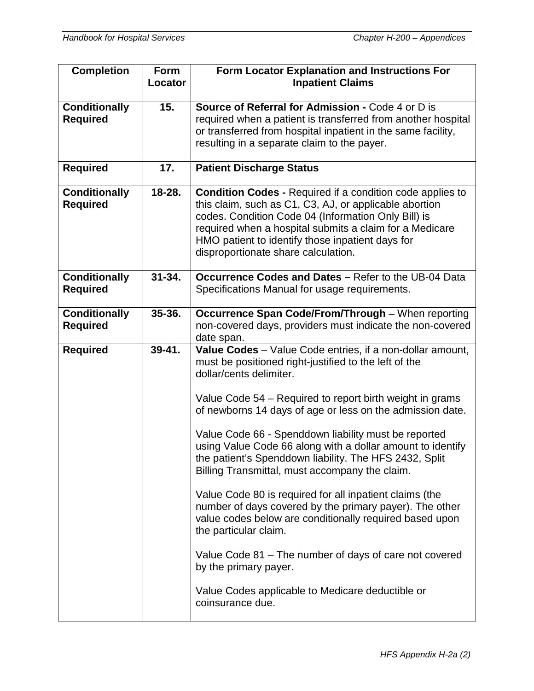| <b>Completion</b>                       | Form<br>Locator | Form Locator Explanation and Instructions For<br><b>Inpatient Claims</b>                                                                                                                                                                                                                                                                                                                                                                                                                                                                                                                                                                                                                                                                                                                                                                                                      |
|-----------------------------------------|-----------------|-------------------------------------------------------------------------------------------------------------------------------------------------------------------------------------------------------------------------------------------------------------------------------------------------------------------------------------------------------------------------------------------------------------------------------------------------------------------------------------------------------------------------------------------------------------------------------------------------------------------------------------------------------------------------------------------------------------------------------------------------------------------------------------------------------------------------------------------------------------------------------|
| <b>Conditionally</b><br><b>Required</b> | 15.             | <b>Source of Referral for Admission - Code 4 or D is</b><br>required when a patient is transferred from another hospital<br>or transferred from hospital inpatient in the same facility,<br>resulting in a separate claim to the payer.                                                                                                                                                                                                                                                                                                                                                                                                                                                                                                                                                                                                                                       |
| <b>Required</b>                         | 17.             | <b>Patient Discharge Status</b>                                                                                                                                                                                                                                                                                                                                                                                                                                                                                                                                                                                                                                                                                                                                                                                                                                               |
| <b>Conditionally</b><br><b>Required</b> | 18-28.          | <b>Condition Codes - Required if a condition code applies to</b><br>this claim, such as C1, C3, AJ, or applicable abortion<br>codes. Condition Code 04 (Information Only Bill) is<br>required when a hospital submits a claim for a Medicare<br>HMO patient to identify those inpatient days for<br>disproportionate share calculation.                                                                                                                                                                                                                                                                                                                                                                                                                                                                                                                                       |
| <b>Conditionally</b><br><b>Required</b> | $31 - 34.$      | <b>Occurrence Codes and Dates - Refer to the UB-04 Data</b><br>Specifications Manual for usage requirements.                                                                                                                                                                                                                                                                                                                                                                                                                                                                                                                                                                                                                                                                                                                                                                  |
| <b>Conditionally</b><br><b>Required</b> | 35-36.          | Occurrence Span Code/From/Through - When reporting<br>non-covered days, providers must indicate the non-covered<br>date span.                                                                                                                                                                                                                                                                                                                                                                                                                                                                                                                                                                                                                                                                                                                                                 |
| <b>Required</b>                         | $39 - 41.$      | Value Codes - Value Code entries, if a non-dollar amount,<br>must be positioned right-justified to the left of the<br>dollar/cents delimiter.<br>Value Code 54 – Required to report birth weight in grams<br>of newborns 14 days of age or less on the admission date.<br>Value Code 66 - Spenddown liability must be reported<br>using Value Code 66 along with a dollar amount to identify<br>the patient's Spenddown liability. The HFS 2432, Split<br>Billing Transmittal, must accompany the claim.<br>Value Code 80 is required for all inpatient claims (the<br>number of days covered by the primary payer). The other<br>value codes below are conditionally required based upon<br>the particular claim.<br>Value Code 81 – The number of days of care not covered<br>by the primary payer.<br>Value Codes applicable to Medicare deductible or<br>coinsurance due. |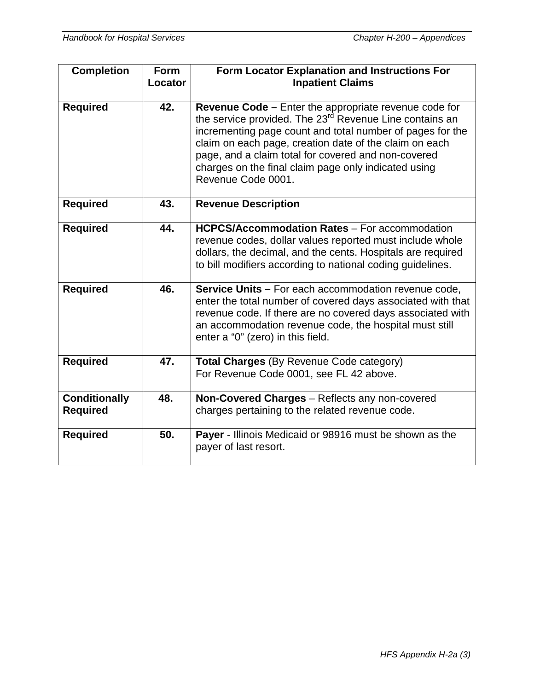| <b>Completion</b>                       | <b>Form</b><br>Locator | <b>Form Locator Explanation and Instructions For</b><br><b>Inpatient Claims</b>                                                                                                                                                                                                                                                                                                                 |
|-----------------------------------------|------------------------|-------------------------------------------------------------------------------------------------------------------------------------------------------------------------------------------------------------------------------------------------------------------------------------------------------------------------------------------------------------------------------------------------|
| <b>Required</b>                         | 42.                    | <b>Revenue Code - Enter the appropriate revenue code for</b><br>the service provided. The 23 <sup>rd</sup> Revenue Line contains an<br>incrementing page count and total number of pages for the<br>claim on each page, creation date of the claim on each<br>page, and a claim total for covered and non-covered<br>charges on the final claim page only indicated using<br>Revenue Code 0001. |
| <b>Required</b>                         | 43.                    | <b>Revenue Description</b>                                                                                                                                                                                                                                                                                                                                                                      |
| <b>Required</b>                         | 44.                    | <b>HCPCS/Accommodation Rates - For accommodation</b><br>revenue codes, dollar values reported must include whole<br>dollars, the decimal, and the cents. Hospitals are required<br>to bill modifiers according to national coding guidelines.                                                                                                                                                   |
| <b>Required</b>                         | 46.                    | <b>Service Units - For each accommodation revenue code,</b><br>enter the total number of covered days associated with that<br>revenue code. If there are no covered days associated with<br>an accommodation revenue code, the hospital must still<br>enter a "0" (zero) in this field.                                                                                                         |
| <b>Required</b>                         | 47.                    | Total Charges (By Revenue Code category)<br>For Revenue Code 0001, see FL 42 above.                                                                                                                                                                                                                                                                                                             |
| <b>Conditionally</b><br><b>Required</b> | 48.                    | Non-Covered Charges - Reflects any non-covered<br>charges pertaining to the related revenue code.                                                                                                                                                                                                                                                                                               |
| <b>Required</b>                         | 50.                    | Payer - Illinois Medicaid or 98916 must be shown as the<br>payer of last resort.                                                                                                                                                                                                                                                                                                                |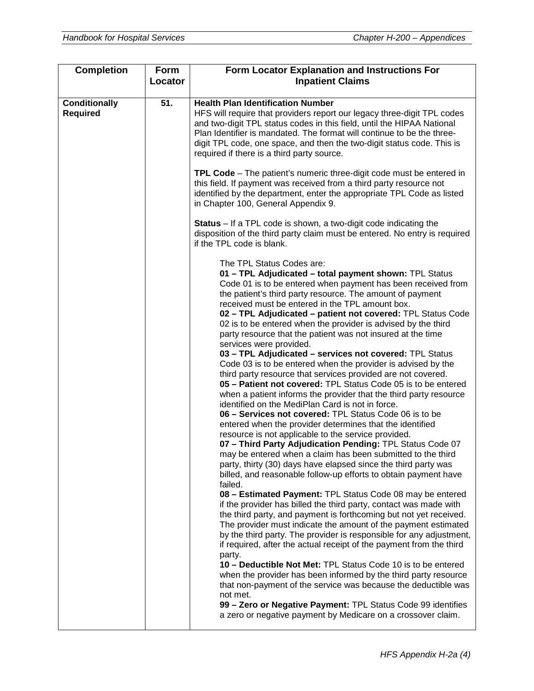| <b>Completion</b>                       | Form<br>Locator | Form Locator Explanation and Instructions For<br><b>Inpatient Claims</b>                                                                                                                                                                                                                                                                                                                                                                                                                                                                                                                                                                                                                                                                                                                  |
|-----------------------------------------|-----------------|-------------------------------------------------------------------------------------------------------------------------------------------------------------------------------------------------------------------------------------------------------------------------------------------------------------------------------------------------------------------------------------------------------------------------------------------------------------------------------------------------------------------------------------------------------------------------------------------------------------------------------------------------------------------------------------------------------------------------------------------------------------------------------------------|
|                                         |                 |                                                                                                                                                                                                                                                                                                                                                                                                                                                                                                                                                                                                                                                                                                                                                                                           |
| <b>Conditionally</b><br><b>Required</b> | 51.             | <b>Health Plan Identification Number</b><br>HFS will require that providers report our legacy three-digit TPL codes<br>and two-digit TPL status codes in this field, until the HIPAA National<br>Plan Identifier is mandated. The format will continue to be the three-<br>digit TPL code, one space, and then the two-digit status code. This is<br>required if there is a third party source.<br><b>TPL Code</b> – The patient's numeric three-digit code must be entered in                                                                                                                                                                                                                                                                                                            |
|                                         |                 | this field. If payment was received from a third party resource not<br>identified by the department, enter the appropriate TPL Code as listed<br>in Chapter 100, General Appendix 9.                                                                                                                                                                                                                                                                                                                                                                                                                                                                                                                                                                                                      |
|                                         |                 | <b>Status</b> – If a TPL code is shown, a two-digit code indicating the<br>disposition of the third party claim must be entered. No entry is required<br>if the TPL code is blank.                                                                                                                                                                                                                                                                                                                                                                                                                                                                                                                                                                                                        |
|                                         |                 | The TPL Status Codes are:<br>01 - TPL Adjudicated - total payment shown: TPL Status<br>Code 01 is to be entered when payment has been received from<br>the patient's third party resource. The amount of payment<br>received must be entered in the TPL amount box.<br>02 - TPL Adjudicated - patient not covered: TPL Status Code<br>02 is to be entered when the provider is advised by the third<br>party resource that the patient was not insured at the time<br>services were provided.<br>03 - TPL Adjudicated - services not covered: TPL Status                                                                                                                                                                                                                                  |
|                                         |                 | Code 03 is to be entered when the provider is advised by the<br>third party resource that services provided are not covered.<br>05 - Patient not covered: TPL Status Code 05 is to be entered<br>when a patient informs the provider that the third party resource<br>identified on the MediPlan Card is not in force.<br>06 - Services not covered: TPL Status Code 06 is to be<br>entered when the provider determines that the identified<br>resource is not applicable to the service provided.<br>07 - Third Party Adjudication Pending: TPL Status Code 07<br>may be entered when a claim has been submitted to the third<br>party, thirty (30) days have elapsed since the third party was<br>billed, and reasonable follow-up efforts to obtain payment have                      |
|                                         |                 | failed.<br>08 - Estimated Payment: TPL Status Code 08 may be entered<br>if the provider has billed the third party, contact was made with<br>the third party, and payment is forthcoming but not yet received.<br>The provider must indicate the amount of the payment estimated<br>by the third party. The provider is responsible for any adjustment,<br>if required, after the actual receipt of the payment from the third<br>party.<br>10 - Deductible Not Met: TPL Status Code 10 is to be entered<br>when the provider has been informed by the third party resource<br>that non-payment of the service was because the deductible was<br>not met.<br>99 - Zero or Negative Payment: TPL Status Code 99 identifies<br>a zero or negative payment by Medicare on a crossover claim. |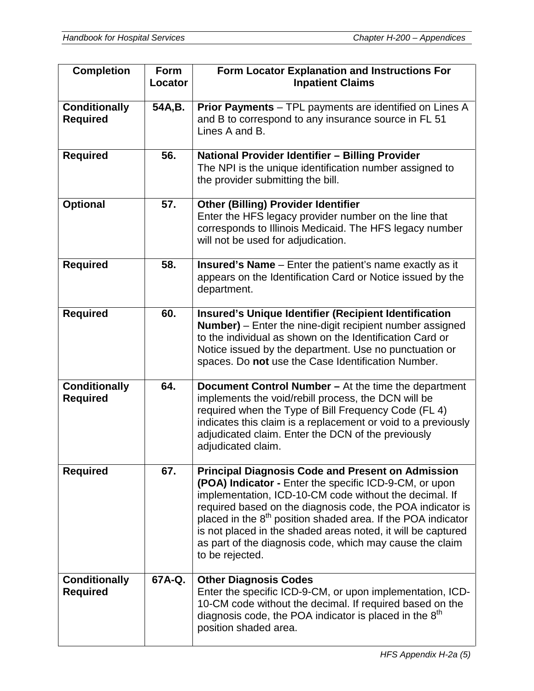| <b>Completion</b>                       | <b>Form</b><br>Locator | Form Locator Explanation and Instructions For<br><b>Inpatient Claims</b>                                                                                                                                                                                                                                                                                                                                                                                              |
|-----------------------------------------|------------------------|-----------------------------------------------------------------------------------------------------------------------------------------------------------------------------------------------------------------------------------------------------------------------------------------------------------------------------------------------------------------------------------------------------------------------------------------------------------------------|
| <b>Conditionally</b><br><b>Required</b> | 54A,B.                 | <b>Prior Payments</b> – TPL payments are identified on Lines A<br>and B to correspond to any insurance source in FL 51<br>Lines A and B.                                                                                                                                                                                                                                                                                                                              |
| <b>Required</b>                         | 56.                    | National Provider Identifier - Billing Provider<br>The NPI is the unique identification number assigned to<br>the provider submitting the bill.                                                                                                                                                                                                                                                                                                                       |
| <b>Optional</b>                         | 57.                    | <b>Other (Billing) Provider Identifier</b><br>Enter the HFS legacy provider number on the line that<br>corresponds to Illinois Medicaid. The HFS legacy number<br>will not be used for adjudication.                                                                                                                                                                                                                                                                  |
| <b>Required</b>                         | 58.                    | Insured's Name - Enter the patient's name exactly as it<br>appears on the Identification Card or Notice issued by the<br>department.                                                                                                                                                                                                                                                                                                                                  |
| <b>Required</b>                         | 60.                    | Insured's Unique Identifier (Recipient Identification<br><b>Number)</b> - Enter the nine-digit recipient number assigned<br>to the individual as shown on the Identification Card or<br>Notice issued by the department. Use no punctuation or<br>spaces. Do not use the Case Identification Number.                                                                                                                                                                  |
| <b>Conditionally</b><br><b>Required</b> | 64.                    | Document Control Number - At the time the department<br>implements the void/rebill process, the DCN will be<br>required when the Type of Bill Frequency Code (FL 4)<br>indicates this claim is a replacement or void to a previously<br>adjudicated claim. Enter the DCN of the previously<br>adjudicated claim.                                                                                                                                                      |
| <b>Required</b>                         | 67.                    | <b>Principal Diagnosis Code and Present on Admission</b><br>(POA) Indicator - Enter the specific ICD-9-CM, or upon<br>implementation, ICD-10-CM code without the decimal. If<br>required based on the diagnosis code, the POA indicator is<br>placed in the 8 <sup>th</sup> position shaded area. If the POA indicator<br>is not placed in the shaded areas noted, it will be captured<br>as part of the diagnosis code, which may cause the claim<br>to be rejected. |
| <b>Conditionally</b><br><b>Required</b> | 67A-Q.                 | <b>Other Diagnosis Codes</b><br>Enter the specific ICD-9-CM, or upon implementation, ICD-<br>10-CM code without the decimal. If required based on the<br>diagnosis code, the POA indicator is placed in the $8th$<br>position shaded area.                                                                                                                                                                                                                            |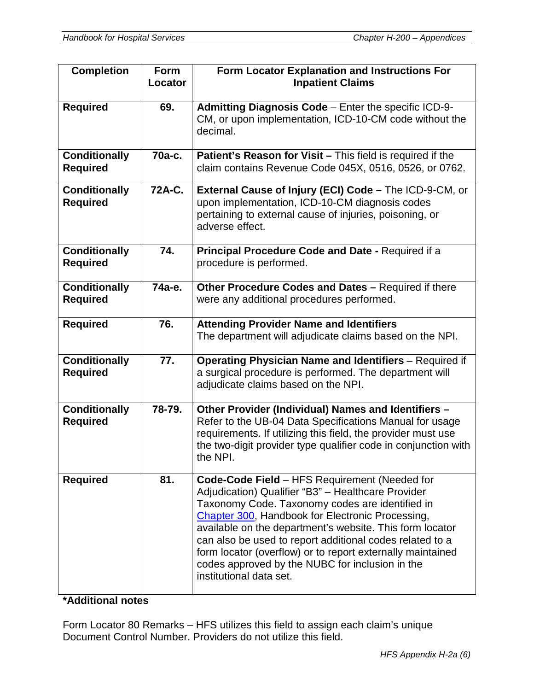| <b>Completion</b>                       | <b>Form</b><br>Locator | Form Locator Explanation and Instructions For<br><b>Inpatient Claims</b>                                                                                                                                                                                                                                                                                                                                                                                                       |
|-----------------------------------------|------------------------|--------------------------------------------------------------------------------------------------------------------------------------------------------------------------------------------------------------------------------------------------------------------------------------------------------------------------------------------------------------------------------------------------------------------------------------------------------------------------------|
| <b>Required</b>                         | 69.                    | Admitting Diagnosis Code - Enter the specific ICD-9-<br>CM, or upon implementation, ICD-10-CM code without the<br>decimal.                                                                                                                                                                                                                                                                                                                                                     |
| <b>Conditionally</b><br><b>Required</b> | 70a-c.                 | Patient's Reason for Visit - This field is required if the<br>claim contains Revenue Code 045X, 0516, 0526, or 0762.                                                                                                                                                                                                                                                                                                                                                           |
| <b>Conditionally</b><br><b>Required</b> | 72A-C.                 | External Cause of Injury (ECI) Code - The ICD-9-CM, or<br>upon implementation, ICD-10-CM diagnosis codes<br>pertaining to external cause of injuries, poisoning, or<br>adverse effect.                                                                                                                                                                                                                                                                                         |
| <b>Conditionally</b><br><b>Required</b> | 74.                    | Principal Procedure Code and Date - Required if a<br>procedure is performed.                                                                                                                                                                                                                                                                                                                                                                                                   |
| <b>Conditionally</b><br><b>Required</b> | 74а-е.                 | Other Procedure Codes and Dates - Required if there<br>were any additional procedures performed.                                                                                                                                                                                                                                                                                                                                                                               |
| <b>Required</b>                         | 76.                    | <b>Attending Provider Name and Identifiers</b><br>The department will adjudicate claims based on the NPI.                                                                                                                                                                                                                                                                                                                                                                      |
| <b>Conditionally</b><br><b>Required</b> | 77.                    | <b>Operating Physician Name and Identifiers</b> - Required if<br>a surgical procedure is performed. The department will<br>adjudicate claims based on the NPI.                                                                                                                                                                                                                                                                                                                 |
| <b>Conditionally</b><br><b>Required</b> | 78-79.                 | Other Provider (Individual) Names and Identifiers -<br>Refer to the UB-04 Data Specifications Manual for usage<br>requirements. If utilizing this field, the provider must use<br>the two-digit provider type qualifier code in conjunction with<br>the NPI.                                                                                                                                                                                                                   |
| <b>Required</b>                         | 81.                    | Code-Code Field - HFS Requirement (Needed for<br>Adjudication) Qualifier "B3" - Healthcare Provider<br>Taxonomy Code. Taxonomy codes are identified in<br>Chapter 300, Handbook for Electronic Processing,<br>available on the department's website. This form locator<br>can also be used to report additional codes related to a<br>form locator (overflow) or to report externally maintained<br>codes approved by the NUBC for inclusion in the<br>institutional data set. |

### **\*Additional notes**

Form Locator 80 Remarks – HFS utilizes this field to assign each claim's unique Document Control Number. Providers do not utilize this field.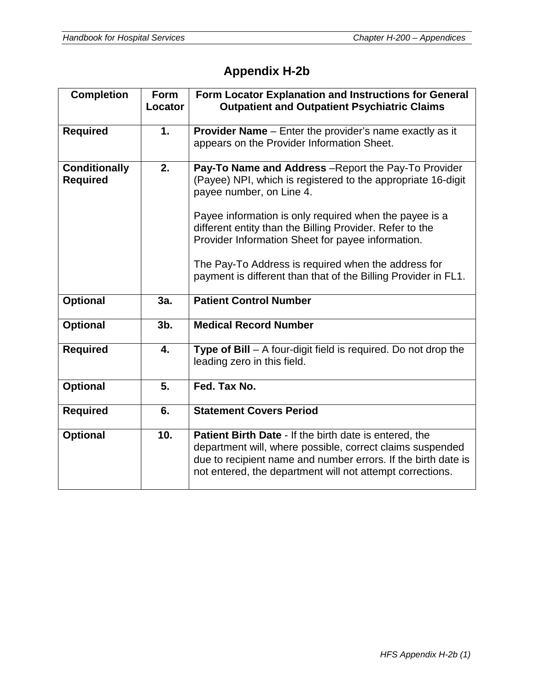# **Appendix H-2b**

| <b>Completion</b>                       | <b>Form</b><br>Locator | Form Locator Explanation and Instructions for General<br><b>Outpatient and Outpatient Psychiatric Claims</b>                                                                                                                                                                                                                |
|-----------------------------------------|------------------------|-----------------------------------------------------------------------------------------------------------------------------------------------------------------------------------------------------------------------------------------------------------------------------------------------------------------------------|
| <b>Required</b>                         | 1.                     | <b>Provider Name</b> – Enter the provider's name exactly as it<br>appears on the Provider Information Sheet.                                                                                                                                                                                                                |
| <b>Conditionally</b><br><b>Required</b> | 2.                     | Pay-To Name and Address - Report the Pay-To Provider<br>(Payee) NPI, which is registered to the appropriate 16-digit<br>payee number, on Line 4.<br>Payee information is only required when the payee is a<br>different entity than the Billing Provider. Refer to the<br>Provider Information Sheet for payee information. |
|                                         |                        | The Pay-To Address is required when the address for<br>payment is different than that of the Billing Provider in FL1.                                                                                                                                                                                                       |
| <b>Optional</b>                         | 3a.                    | <b>Patient Control Number</b>                                                                                                                                                                                                                                                                                               |
| <b>Optional</b>                         | 3 <sub>b</sub>         | <b>Medical Record Number</b>                                                                                                                                                                                                                                                                                                |
| <b>Required</b>                         | 4.                     | Type of Bill - A four-digit field is required. Do not drop the<br>leading zero in this field.                                                                                                                                                                                                                               |
| <b>Optional</b>                         | 5.                     | Fed. Tax No.                                                                                                                                                                                                                                                                                                                |
| <b>Required</b>                         | 6.                     | <b>Statement Covers Period</b>                                                                                                                                                                                                                                                                                              |
| <b>Optional</b>                         | 10.                    | <b>Patient Birth Date - If the birth date is entered, the</b><br>department will, where possible, correct claims suspended<br>due to recipient name and number errors. If the birth date is<br>not entered, the department will not attempt corrections.                                                                    |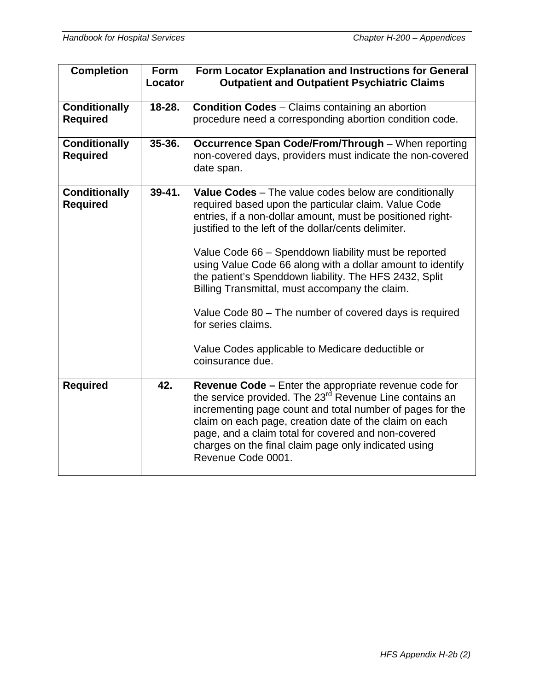| <b>Completion</b>                       | <b>Form</b><br>Locator | Form Locator Explanation and Instructions for General<br><b>Outpatient and Outpatient Psychiatric Claims</b>                                                                                                                                                                                                                                                                                                                                                                                                                                                                                                                  |
|-----------------------------------------|------------------------|-------------------------------------------------------------------------------------------------------------------------------------------------------------------------------------------------------------------------------------------------------------------------------------------------------------------------------------------------------------------------------------------------------------------------------------------------------------------------------------------------------------------------------------------------------------------------------------------------------------------------------|
| <b>Conditionally</b><br><b>Required</b> | 18-28.                 | <b>Condition Codes</b> – Claims containing an abortion<br>procedure need a corresponding abortion condition code.                                                                                                                                                                                                                                                                                                                                                                                                                                                                                                             |
| <b>Conditionally</b><br><b>Required</b> | 35-36.                 | Occurrence Span Code/From/Through - When reporting<br>non-covered days, providers must indicate the non-covered<br>date span.                                                                                                                                                                                                                                                                                                                                                                                                                                                                                                 |
| <b>Conditionally</b><br><b>Required</b> | $39 - 41.$             | Value Codes - The value codes below are conditionally<br>required based upon the particular claim. Value Code<br>entries, if a non-dollar amount, must be positioned right-<br>justified to the left of the dollar/cents delimiter.<br>Value Code 66 - Spenddown liability must be reported<br>using Value Code 66 along with a dollar amount to identify<br>the patient's Spenddown liability. The HFS 2432, Split<br>Billing Transmittal, must accompany the claim.<br>Value Code 80 – The number of covered days is required<br>for series claims.<br>Value Codes applicable to Medicare deductible or<br>coinsurance due. |
| <b>Required</b>                         | 42.                    | Revenue Code - Enter the appropriate revenue code for<br>the service provided. The 23 <sup>rd</sup> Revenue Line contains an<br>incrementing page count and total number of pages for the<br>claim on each page, creation date of the claim on each<br>page, and a claim total for covered and non-covered<br>charges on the final claim page only indicated using<br>Revenue Code 0001.                                                                                                                                                                                                                                      |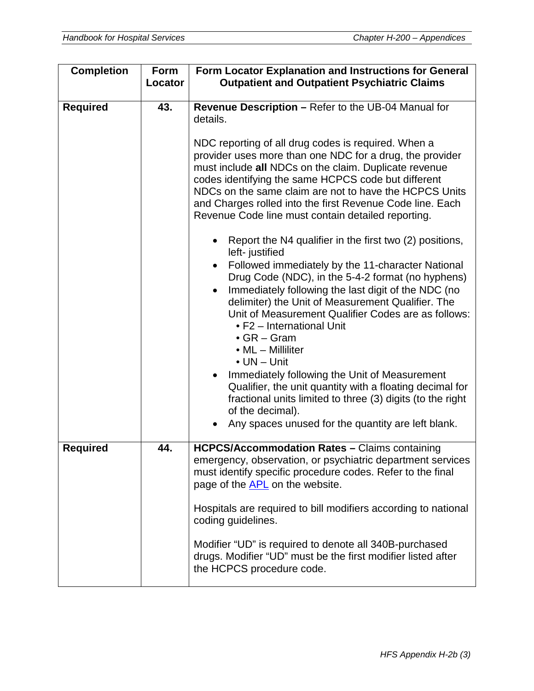| <b>Completion</b> | Form<br>Locator | Form Locator Explanation and Instructions for General<br><b>Outpatient and Outpatient Psychiatric Claims</b>                                                                                                                                                                                                                                                                                                                                                                                                                                                                                                                                                                                                                |
|-------------------|-----------------|-----------------------------------------------------------------------------------------------------------------------------------------------------------------------------------------------------------------------------------------------------------------------------------------------------------------------------------------------------------------------------------------------------------------------------------------------------------------------------------------------------------------------------------------------------------------------------------------------------------------------------------------------------------------------------------------------------------------------------|
| <b>Required</b>   | 43.             | Revenue Description - Refer to the UB-04 Manual for<br>details.<br>NDC reporting of all drug codes is required. When a<br>provider uses more than one NDC for a drug, the provider<br>must include all NDCs on the claim. Duplicate revenue<br>codes identifying the same HCPCS code but different<br>NDCs on the same claim are not to have the HCPCS Units<br>and Charges rolled into the first Revenue Code line. Each<br>Revenue Code line must contain detailed reporting.                                                                                                                                                                                                                                             |
|                   |                 | Report the N4 qualifier in the first two (2) positions,<br>left- justified<br>Followed immediately by the 11-character National<br>Drug Code (NDC), in the 5-4-2 format (no hyphens)<br>Immediately following the last digit of the NDC (no<br>$\bullet$<br>delimiter) the Unit of Measurement Qualifier. The<br>Unit of Measurement Qualifier Codes are as follows:<br>• F2 - International Unit<br>$\bullet$ GR – Gram<br>• ML - Milliliter<br>$\bullet$ UN $-$ Unit<br>Immediately following the Unit of Measurement<br>Qualifier, the unit quantity with a floating decimal for<br>fractional units limited to three (3) digits (to the right<br>of the decimal).<br>Any spaces unused for the quantity are left blank. |
| <b>Required</b>   | 44.             | <b>HCPCS/Accommodation Rates - Claims containing</b><br>emergency, observation, or psychiatric department services<br>must identify specific procedure codes. Refer to the final<br>page of the APL on the website.<br>Hospitals are required to bill modifiers according to national<br>coding guidelines.<br>Modifier "UD" is required to denote all 340B-purchased<br>drugs. Modifier "UD" must be the first modifier listed after<br>the HCPCS procedure code.                                                                                                                                                                                                                                                          |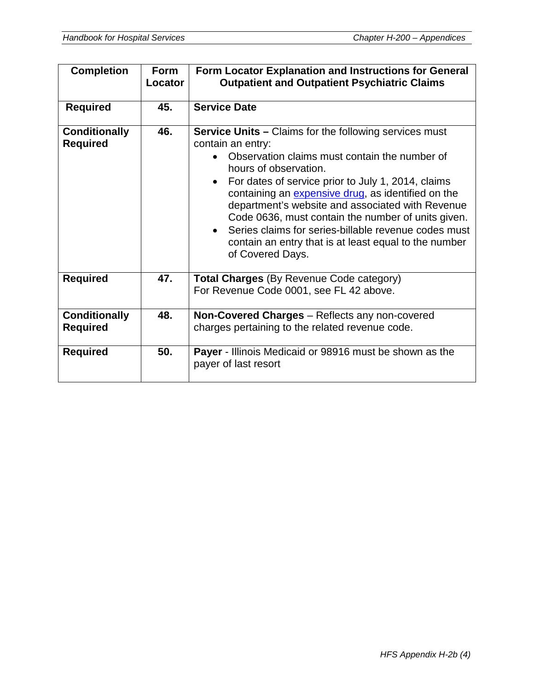| <b>Completion</b>                       | <b>Form</b><br>Locator | Form Locator Explanation and Instructions for General<br><b>Outpatient and Outpatient Psychiatric Claims</b>                                                                                                                                                                                                                                                                                                                                                                                                                         |
|-----------------------------------------|------------------------|--------------------------------------------------------------------------------------------------------------------------------------------------------------------------------------------------------------------------------------------------------------------------------------------------------------------------------------------------------------------------------------------------------------------------------------------------------------------------------------------------------------------------------------|
| <b>Required</b>                         | 45.                    | <b>Service Date</b>                                                                                                                                                                                                                                                                                                                                                                                                                                                                                                                  |
| <b>Conditionally</b><br><b>Required</b> | 46.                    | <b>Service Units - Claims for the following services must</b><br>contain an entry:<br>Observation claims must contain the number of<br>hours of observation.<br>For dates of service prior to July 1, 2014, claims<br>$\bullet$<br>containing an expensive drug, as identified on the<br>department's website and associated with Revenue<br>Code 0636, must contain the number of units given.<br>Series claims for series-billable revenue codes must<br>contain an entry that is at least equal to the number<br>of Covered Days. |
| <b>Required</b>                         | 47.                    | <b>Total Charges</b> (By Revenue Code category)<br>For Revenue Code 0001, see FL 42 above.                                                                                                                                                                                                                                                                                                                                                                                                                                           |
| <b>Conditionally</b><br><b>Required</b> | 48.                    | Non-Covered Charges - Reflects any non-covered<br>charges pertaining to the related revenue code.                                                                                                                                                                                                                                                                                                                                                                                                                                    |
| <b>Required</b>                         | 50.                    | <b>Payer</b> - Illinois Medicaid or 98916 must be shown as the<br>payer of last resort                                                                                                                                                                                                                                                                                                                                                                                                                                               |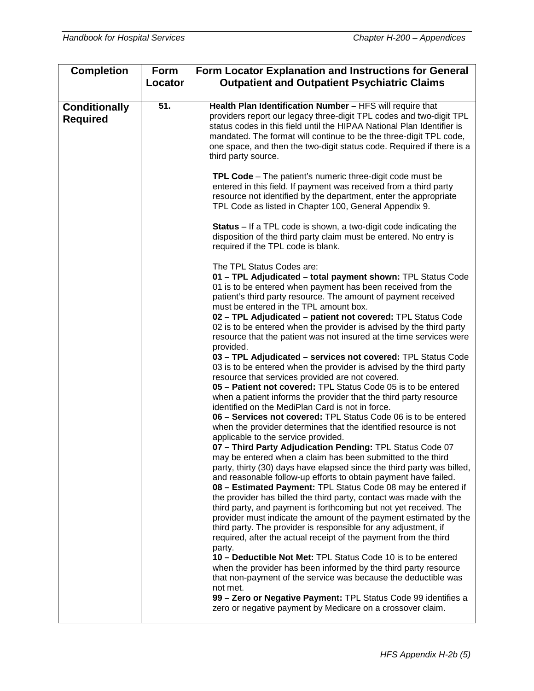| <b>Completion</b>                       | Form    | <b>Form Locator Explanation and Instructions for General</b>                                                                                                                                                                                                                                                                                                                                                                                                                                                                                                                                                                                                                                                                                                                                                                                                                                                                                                                                                                                                                                                                                                                                                                                                                                                                                                                                                                                                                                                                                                                                                                                                                                                                                                                                                                              |
|-----------------------------------------|---------|-------------------------------------------------------------------------------------------------------------------------------------------------------------------------------------------------------------------------------------------------------------------------------------------------------------------------------------------------------------------------------------------------------------------------------------------------------------------------------------------------------------------------------------------------------------------------------------------------------------------------------------------------------------------------------------------------------------------------------------------------------------------------------------------------------------------------------------------------------------------------------------------------------------------------------------------------------------------------------------------------------------------------------------------------------------------------------------------------------------------------------------------------------------------------------------------------------------------------------------------------------------------------------------------------------------------------------------------------------------------------------------------------------------------------------------------------------------------------------------------------------------------------------------------------------------------------------------------------------------------------------------------------------------------------------------------------------------------------------------------------------------------------------------------------------------------------------------------|
|                                         | Locator | <b>Outpatient and Outpatient Psychiatric Claims</b>                                                                                                                                                                                                                                                                                                                                                                                                                                                                                                                                                                                                                                                                                                                                                                                                                                                                                                                                                                                                                                                                                                                                                                                                                                                                                                                                                                                                                                                                                                                                                                                                                                                                                                                                                                                       |
| <b>Conditionally</b><br><b>Required</b> | 51.     | Health Plan Identification Number - HFS will require that<br>providers report our legacy three-digit TPL codes and two-digit TPL<br>status codes in this field until the HIPAA National Plan Identifier is<br>mandated. The format will continue to be the three-digit TPL code,<br>one space, and then the two-digit status code. Required if there is a<br>third party source.                                                                                                                                                                                                                                                                                                                                                                                                                                                                                                                                                                                                                                                                                                                                                                                                                                                                                                                                                                                                                                                                                                                                                                                                                                                                                                                                                                                                                                                          |
|                                         |         | TPL Code - The patient's numeric three-digit code must be<br>entered in this field. If payment was received from a third party<br>resource not identified by the department, enter the appropriate<br>TPL Code as listed in Chapter 100, General Appendix 9.                                                                                                                                                                                                                                                                                                                                                                                                                                                                                                                                                                                                                                                                                                                                                                                                                                                                                                                                                                                                                                                                                                                                                                                                                                                                                                                                                                                                                                                                                                                                                                              |
|                                         |         | <b>Status</b> – If a TPL code is shown, a two-digit code indicating the<br>disposition of the third party claim must be entered. No entry is<br>required if the TPL code is blank.                                                                                                                                                                                                                                                                                                                                                                                                                                                                                                                                                                                                                                                                                                                                                                                                                                                                                                                                                                                                                                                                                                                                                                                                                                                                                                                                                                                                                                                                                                                                                                                                                                                        |
|                                         |         | The TPL Status Codes are:<br>01 - TPL Adjudicated - total payment shown: TPL Status Code<br>01 is to be entered when payment has been received from the<br>patient's third party resource. The amount of payment received<br>must be entered in the TPL amount box.<br>02 - TPL Adjudicated - patient not covered: TPL Status Code<br>02 is to be entered when the provider is advised by the third party<br>resource that the patient was not insured at the time services were<br>provided.<br>03 - TPL Adjudicated - services not covered: TPL Status Code<br>03 is to be entered when the provider is advised by the third party<br>resource that services provided are not covered.<br>05 - Patient not covered: TPL Status Code 05 is to be entered<br>when a patient informs the provider that the third party resource<br>identified on the MediPlan Card is not in force.<br>06 - Services not covered: TPL Status Code 06 is to be entered<br>when the provider determines that the identified resource is not<br>applicable to the service provided.<br>07 - Third Party Adjudication Pending: TPL Status Code 07<br>may be entered when a claim has been submitted to the third<br>party, thirty (30) days have elapsed since the third party was billed,<br>and reasonable follow-up efforts to obtain payment have failed.<br>08 - Estimated Payment: TPL Status Code 08 may be entered if<br>the provider has billed the third party, contact was made with the<br>third party, and payment is forthcoming but not yet received. The<br>provider must indicate the amount of the payment estimated by the<br>third party. The provider is responsible for any adjustment, if<br>required, after the actual receipt of the payment from the third<br>party.<br>10 - Deductible Not Met: TPL Status Code 10 is to be entered |
|                                         |         | when the provider has been informed by the third party resource<br>that non-payment of the service was because the deductible was<br>not met.<br>99 - Zero or Negative Payment: TPL Status Code 99 identifies a<br>zero or negative payment by Medicare on a crossover claim.                                                                                                                                                                                                                                                                                                                                                                                                                                                                                                                                                                                                                                                                                                                                                                                                                                                                                                                                                                                                                                                                                                                                                                                                                                                                                                                                                                                                                                                                                                                                                             |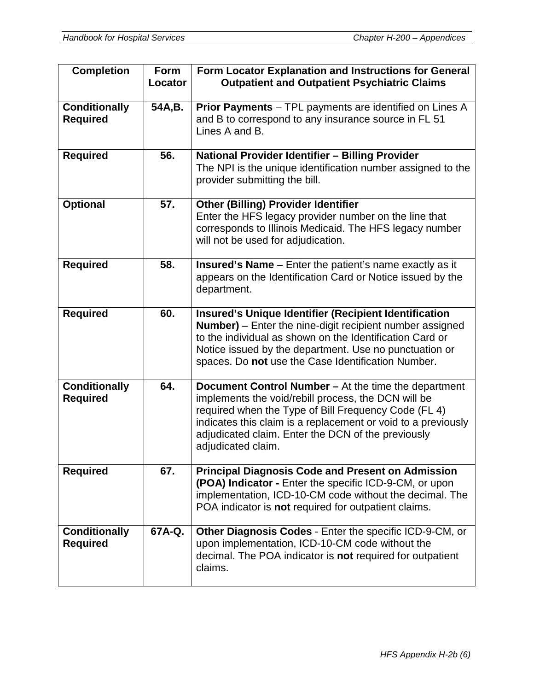| <b>Completion</b>                       | <b>Form</b><br>Locator | Form Locator Explanation and Instructions for General<br><b>Outpatient and Outpatient Psychiatric Claims</b>                                                                                                                                                                                                     |
|-----------------------------------------|------------------------|------------------------------------------------------------------------------------------------------------------------------------------------------------------------------------------------------------------------------------------------------------------------------------------------------------------|
| <b>Conditionally</b><br><b>Required</b> | 54A,B.                 | Prior Payments - TPL payments are identified on Lines A<br>and B to correspond to any insurance source in FL 51<br>Lines A and B.                                                                                                                                                                                |
| <b>Required</b>                         | 56.                    | National Provider Identifier - Billing Provider<br>The NPI is the unique identification number assigned to the<br>provider submitting the bill.                                                                                                                                                                  |
| <b>Optional</b>                         | 57.                    | <b>Other (Billing) Provider Identifier</b><br>Enter the HFS legacy provider number on the line that<br>corresponds to Illinois Medicaid. The HFS legacy number<br>will not be used for adjudication.                                                                                                             |
| <b>Required</b>                         | 58.                    | <b>Insured's Name</b> - Enter the patient's name exactly as it<br>appears on the Identification Card or Notice issued by the<br>department.                                                                                                                                                                      |
| <b>Required</b>                         | 60.                    | <b>Insured's Unique Identifier (Recipient Identification</b><br>Number) - Enter the nine-digit recipient number assigned<br>to the individual as shown on the Identification Card or<br>Notice issued by the department. Use no punctuation or<br>spaces. Do not use the Case Identification Number.             |
| <b>Conditionally</b><br><b>Required</b> | 64.                    | Document Control Number - At the time the department<br>implements the void/rebill process, the DCN will be<br>required when the Type of Bill Frequency Code (FL 4)<br>indicates this claim is a replacement or void to a previously<br>adjudicated claim. Enter the DCN of the previously<br>adjudicated claim. |
| <b>Required</b>                         | 67.                    | <b>Principal Diagnosis Code and Present on Admission</b><br>(POA) Indicator - Enter the specific ICD-9-CM, or upon<br>implementation, ICD-10-CM code without the decimal. The<br>POA indicator is not required for outpatient claims.                                                                            |
| <b>Conditionally</b><br><b>Required</b> | 67A-Q.                 | <b>Other Diagnosis Codes - Enter the specific ICD-9-CM, or</b><br>upon implementation, ICD-10-CM code without the<br>decimal. The POA indicator is not required for outpatient<br>claims.                                                                                                                        |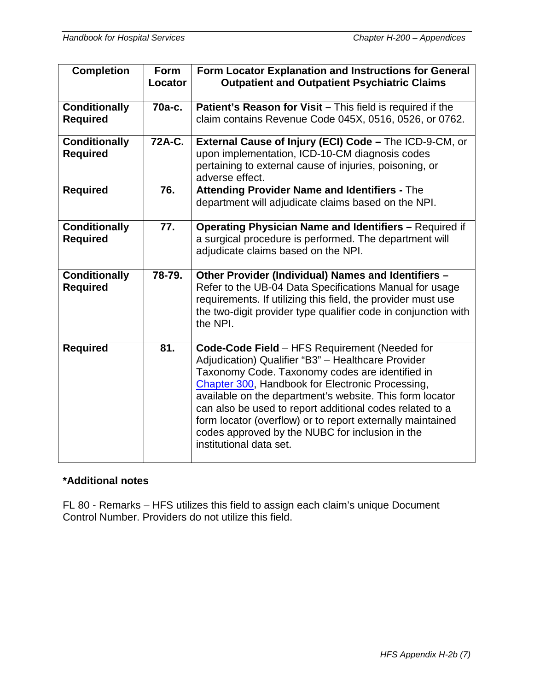| <b>Completion</b>                       | <b>Form</b><br>Locator | Form Locator Explanation and Instructions for General<br><b>Outpatient and Outpatient Psychiatric Claims</b>                                                                                                                                                                                                                                                                                                                                                                   |
|-----------------------------------------|------------------------|--------------------------------------------------------------------------------------------------------------------------------------------------------------------------------------------------------------------------------------------------------------------------------------------------------------------------------------------------------------------------------------------------------------------------------------------------------------------------------|
| <b>Conditionally</b><br><b>Required</b> | $70a-c.$               | Patient's Reason for Visit - This field is required if the<br>claim contains Revenue Code 045X, 0516, 0526, or 0762.                                                                                                                                                                                                                                                                                                                                                           |
| <b>Conditionally</b><br><b>Required</b> | 72A-C.                 | External Cause of Injury (ECI) Code - The ICD-9-CM, or<br>upon implementation, ICD-10-CM diagnosis codes<br>pertaining to external cause of injuries, poisoning, or<br>adverse effect.                                                                                                                                                                                                                                                                                         |
| <b>Required</b>                         | 76.                    | <b>Attending Provider Name and Identifiers - The</b><br>department will adjudicate claims based on the NPI.                                                                                                                                                                                                                                                                                                                                                                    |
| <b>Conditionally</b><br><b>Required</b> | 77.                    | <b>Operating Physician Name and Identifiers - Required if</b><br>a surgical procedure is performed. The department will<br>adjudicate claims based on the NPI.                                                                                                                                                                                                                                                                                                                 |
| <b>Conditionally</b><br><b>Required</b> | 78-79.                 | Other Provider (Individual) Names and Identifiers -<br>Refer to the UB-04 Data Specifications Manual for usage<br>requirements. If utilizing this field, the provider must use<br>the two-digit provider type qualifier code in conjunction with<br>the NPI.                                                                                                                                                                                                                   |
| <b>Required</b>                         | 81.                    | Code-Code Field - HFS Requirement (Needed for<br>Adjudication) Qualifier "B3" - Healthcare Provider<br>Taxonomy Code. Taxonomy codes are identified in<br>Chapter 300, Handbook for Electronic Processing,<br>available on the department's website. This form locator<br>can also be used to report additional codes related to a<br>form locator (overflow) or to report externally maintained<br>codes approved by the NUBC for inclusion in the<br>institutional data set. |

## **\*Additional notes**

FL 80 - Remarks – HFS utilizes this field to assign each claim's unique Document Control Number. Providers do not utilize this field.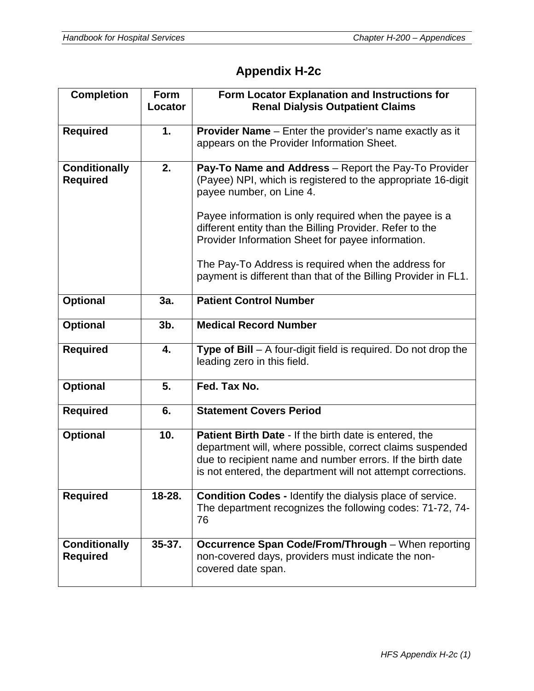# **Appendix H-2c**

| <b>Completion</b>                       | <b>Form</b><br>Locator | Form Locator Explanation and Instructions for<br><b>Renal Dialysis Outpatient Claims</b>                                                                                                                                                                                                                                    |
|-----------------------------------------|------------------------|-----------------------------------------------------------------------------------------------------------------------------------------------------------------------------------------------------------------------------------------------------------------------------------------------------------------------------|
| <b>Required</b>                         | 1.                     | <b>Provider Name</b> – Enter the provider's name exactly as it<br>appears on the Provider Information Sheet.                                                                                                                                                                                                                |
| <b>Conditionally</b><br><b>Required</b> | 2.                     | Pay-To Name and Address - Report the Pay-To Provider<br>(Payee) NPI, which is registered to the appropriate 16-digit<br>payee number, on Line 4.<br>Payee information is only required when the payee is a<br>different entity than the Billing Provider. Refer to the<br>Provider Information Sheet for payee information. |
|                                         |                        | The Pay-To Address is required when the address for<br>payment is different than that of the Billing Provider in FL1.                                                                                                                                                                                                       |
| <b>Optional</b>                         | 3a.                    | <b>Patient Control Number</b>                                                                                                                                                                                                                                                                                               |
| <b>Optional</b>                         | $3b$ .                 | <b>Medical Record Number</b>                                                                                                                                                                                                                                                                                                |
| <b>Required</b>                         | 4.                     | Type of Bill - A four-digit field is required. Do not drop the<br>leading zero in this field.                                                                                                                                                                                                                               |
| <b>Optional</b>                         | 5.                     | Fed. Tax No.                                                                                                                                                                                                                                                                                                                |
| <b>Required</b>                         | 6.                     | <b>Statement Covers Period</b>                                                                                                                                                                                                                                                                                              |
| <b>Optional</b>                         | 10.                    | <b>Patient Birth Date - If the birth date is entered, the</b><br>department will, where possible, correct claims suspended<br>due to recipient name and number errors. If the birth date<br>is not entered, the department will not attempt corrections.                                                                    |
| <b>Required</b>                         | 18-28.                 | Condition Codes - Identify the dialysis place of service.<br>The department recognizes the following codes: 71-72, 74-<br>76                                                                                                                                                                                                |
| <b>Conditionally</b><br><b>Required</b> | $35 - 37.$             | <b>Occurrence Span Code/From/Through - When reporting</b><br>non-covered days, providers must indicate the non-<br>covered date span.                                                                                                                                                                                       |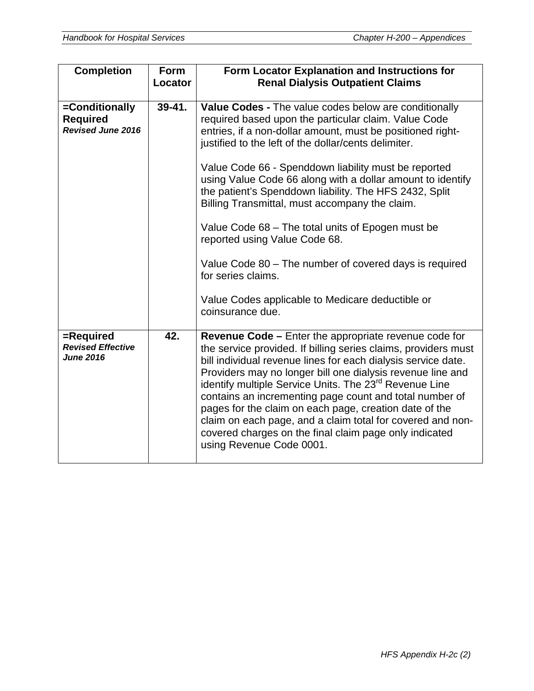| <b>Completion</b>                                             | <b>Form</b><br>Locator | Form Locator Explanation and Instructions for<br><b>Renal Dialysis Outpatient Claims</b>                                                                                                                                                                                                                                                                                                                                                                                                                                                                                                                     |
|---------------------------------------------------------------|------------------------|--------------------------------------------------------------------------------------------------------------------------------------------------------------------------------------------------------------------------------------------------------------------------------------------------------------------------------------------------------------------------------------------------------------------------------------------------------------------------------------------------------------------------------------------------------------------------------------------------------------|
| =Conditionally<br><b>Required</b><br><b>Revised June 2016</b> | $39 - 41.$             | Value Codes - The value codes below are conditionally<br>required based upon the particular claim. Value Code<br>entries, if a non-dollar amount, must be positioned right-<br>justified to the left of the dollar/cents delimiter.<br>Value Code 66 - Spenddown liability must be reported<br>using Value Code 66 along with a dollar amount to identify<br>the patient's Spenddown liability. The HFS 2432, Split<br>Billing Transmittal, must accompany the claim.                                                                                                                                        |
|                                                               |                        | Value Code 68 - The total units of Epogen must be<br>reported using Value Code 68.<br>Value Code 80 – The number of covered days is required<br>for series claims.<br>Value Codes applicable to Medicare deductible or<br>coinsurance due.                                                                                                                                                                                                                                                                                                                                                                   |
| =Required<br><b>Revised Effective</b><br><b>June 2016</b>     | 42.                    | <b>Revenue Code –</b> Enter the appropriate revenue code for<br>the service provided. If billing series claims, providers must<br>bill individual revenue lines for each dialysis service date.<br>Providers may no longer bill one dialysis revenue line and<br>identify multiple Service Units. The 23 <sup>rd</sup> Revenue Line<br>contains an incrementing page count and total number of<br>pages for the claim on each page, creation date of the<br>claim on each page, and a claim total for covered and non-<br>covered charges on the final claim page only indicated<br>using Revenue Code 0001. |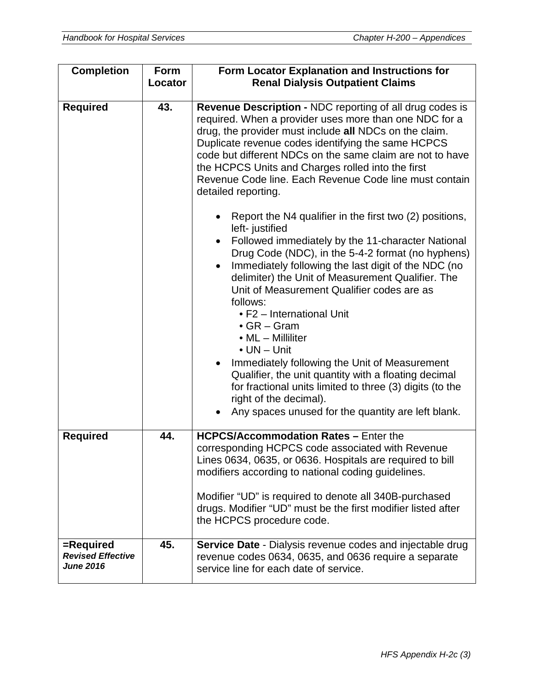| <b>Completion</b>                                         | Form    | Form Locator Explanation and Instructions for                                                                                                                                                                                                                                                                                                                                                                                         |
|-----------------------------------------------------------|---------|---------------------------------------------------------------------------------------------------------------------------------------------------------------------------------------------------------------------------------------------------------------------------------------------------------------------------------------------------------------------------------------------------------------------------------------|
|                                                           | Locator | <b>Renal Dialysis Outpatient Claims</b>                                                                                                                                                                                                                                                                                                                                                                                               |
| <b>Required</b>                                           | 43.     | Revenue Description - NDC reporting of all drug codes is<br>required. When a provider uses more than one NDC for a<br>drug, the provider must include all NDCs on the claim.<br>Duplicate revenue codes identifying the same HCPCS<br>code but different NDCs on the same claim are not to have<br>the HCPCS Units and Charges rolled into the first<br>Revenue Code line. Each Revenue Code line must contain<br>detailed reporting. |
|                                                           |         | Report the N4 qualifier in the first two (2) positions,<br>left- justified<br>Followed immediately by the 11-character National<br>$\bullet$<br>Drug Code (NDC), in the 5-4-2 format (no hyphens)<br>Immediately following the last digit of the NDC (no<br>delimiter) the Unit of Measurement Qualifier. The<br>Unit of Measurement Qualifier codes are as<br>follows:                                                               |
|                                                           |         | • F2 - International Unit<br>$\bullet$ GR – Gram<br>• ML - Milliliter<br>$\bullet$ UN $-$ Unit<br>Immediately following the Unit of Measurement<br>$\bullet$                                                                                                                                                                                                                                                                          |
|                                                           |         | Qualifier, the unit quantity with a floating decimal<br>for fractional units limited to three (3) digits (to the<br>right of the decimal).<br>Any spaces unused for the quantity are left blank.                                                                                                                                                                                                                                      |
| <b>Required</b>                                           | 44.     | <b>HCPCS/Accommodation Rates - Enter the</b><br>corresponding HCPCS code associated with Revenue<br>Lines 0634, 0635, or 0636. Hospitals are required to bill<br>modifiers according to national coding guidelines.                                                                                                                                                                                                                   |
|                                                           |         | Modifier "UD" is required to denote all 340B-purchased<br>drugs. Modifier "UD" must be the first modifier listed after<br>the HCPCS procedure code.                                                                                                                                                                                                                                                                                   |
| =Required<br><b>Revised Effective</b><br><b>June 2016</b> | 45.     | <b>Service Date - Dialysis revenue codes and injectable drug</b><br>revenue codes 0634, 0635, and 0636 require a separate<br>service line for each date of service.                                                                                                                                                                                                                                                                   |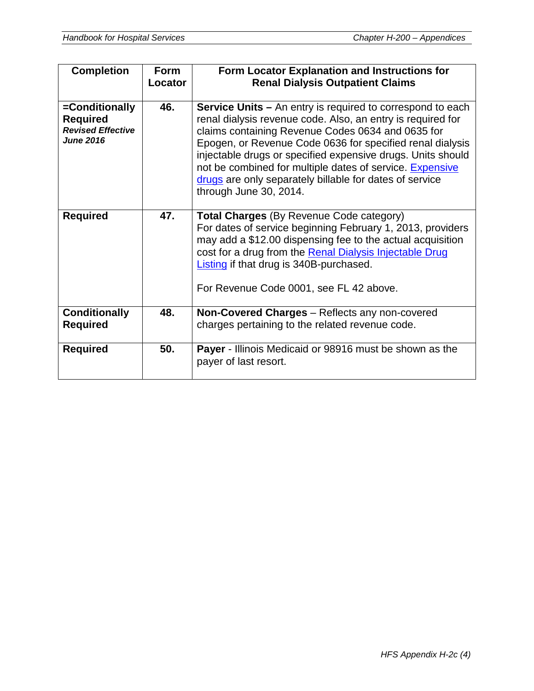| <b>Completion</b>                                                                 | <b>Form</b><br>Locator | Form Locator Explanation and Instructions for<br><b>Renal Dialysis Outpatient Claims</b>                                                                                                                                                                                                                                                                                                                                                                           |
|-----------------------------------------------------------------------------------|------------------------|--------------------------------------------------------------------------------------------------------------------------------------------------------------------------------------------------------------------------------------------------------------------------------------------------------------------------------------------------------------------------------------------------------------------------------------------------------------------|
| =Conditionally<br><b>Required</b><br><b>Revised Effective</b><br><b>June 2016</b> | 46.                    | <b>Service Units - An entry is required to correspond to each</b><br>renal dialysis revenue code. Also, an entry is required for<br>claims containing Revenue Codes 0634 and 0635 for<br>Epogen, or Revenue Code 0636 for specified renal dialysis<br>injectable drugs or specified expensive drugs. Units should<br>not be combined for multiple dates of service. Expensive<br>drugs are only separately billable for dates of service<br>through June 30, 2014. |
| <b>Required</b>                                                                   | 47.                    | <b>Total Charges (By Revenue Code category)</b><br>For dates of service beginning February 1, 2013, providers<br>may add a \$12.00 dispensing fee to the actual acquisition<br>cost for a drug from the Renal Dialysis Injectable Drug<br>Listing if that drug is 340B-purchased.<br>For Revenue Code 0001, see FL 42 above.                                                                                                                                       |
| <b>Conditionally</b><br><b>Required</b>                                           | 48.                    | Non-Covered Charges - Reflects any non-covered<br>charges pertaining to the related revenue code.                                                                                                                                                                                                                                                                                                                                                                  |
| <b>Required</b>                                                                   | 50.                    | <b>Payer</b> - Illinois Medicaid or 98916 must be shown as the<br>payer of last resort.                                                                                                                                                                                                                                                                                                                                                                            |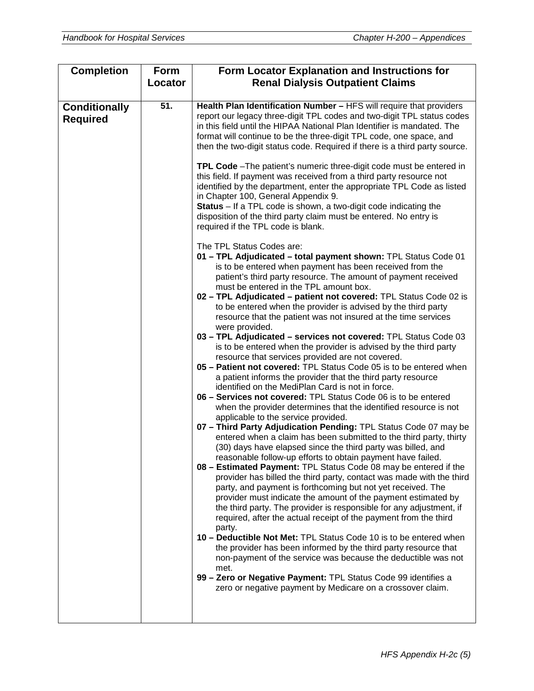| <b>Completion</b>                       | Form<br>Locator | Form Locator Explanation and Instructions for<br><b>Renal Dialysis Outpatient Claims</b>                                                                                                                                                                                                                                                                                                                                                                                                                                                                                                                                                                                                                                                                                                                                                                                                                                                                                                                                                                                                                                                                                                                                                                                                                                                                                                                                                                                                                                                                                                                                                                                                                                                                                                                                                                                                                                                                                                                                                                                                                                   |
|-----------------------------------------|-----------------|----------------------------------------------------------------------------------------------------------------------------------------------------------------------------------------------------------------------------------------------------------------------------------------------------------------------------------------------------------------------------------------------------------------------------------------------------------------------------------------------------------------------------------------------------------------------------------------------------------------------------------------------------------------------------------------------------------------------------------------------------------------------------------------------------------------------------------------------------------------------------------------------------------------------------------------------------------------------------------------------------------------------------------------------------------------------------------------------------------------------------------------------------------------------------------------------------------------------------------------------------------------------------------------------------------------------------------------------------------------------------------------------------------------------------------------------------------------------------------------------------------------------------------------------------------------------------------------------------------------------------------------------------------------------------------------------------------------------------------------------------------------------------------------------------------------------------------------------------------------------------------------------------------------------------------------------------------------------------------------------------------------------------------------------------------------------------------------------------------------------------|
|                                         |                 |                                                                                                                                                                                                                                                                                                                                                                                                                                                                                                                                                                                                                                                                                                                                                                                                                                                                                                                                                                                                                                                                                                                                                                                                                                                                                                                                                                                                                                                                                                                                                                                                                                                                                                                                                                                                                                                                                                                                                                                                                                                                                                                            |
| <b>Conditionally</b><br><b>Required</b> | 51.             | Health Plan Identification Number - HFS will require that providers<br>report our legacy three-digit TPL codes and two-digit TPL status codes<br>in this field until the HIPAA National Plan Identifier is mandated. The<br>format will continue to be the three-digit TPL code, one space, and<br>then the two-digit status code. Required if there is a third party source.                                                                                                                                                                                                                                                                                                                                                                                                                                                                                                                                                                                                                                                                                                                                                                                                                                                                                                                                                                                                                                                                                                                                                                                                                                                                                                                                                                                                                                                                                                                                                                                                                                                                                                                                              |
|                                         |                 | TPL Code - The patient's numeric three-digit code must be entered in<br>this field. If payment was received from a third party resource not<br>identified by the department, enter the appropriate TPL Code as listed<br>in Chapter 100, General Appendix 9.<br><b>Status</b> – If a TPL code is shown, a two-digit code indicating the<br>disposition of the third party claim must be entered. No entry is<br>required if the TPL code is blank.                                                                                                                                                                                                                                                                                                                                                                                                                                                                                                                                                                                                                                                                                                                                                                                                                                                                                                                                                                                                                                                                                                                                                                                                                                                                                                                                                                                                                                                                                                                                                                                                                                                                         |
|                                         |                 | The TPL Status Codes are:<br>01 - TPL Adjudicated - total payment shown: TPL Status Code 01<br>is to be entered when payment has been received from the<br>patient's third party resource. The amount of payment received<br>must be entered in the TPL amount box.<br>02 - TPL Adjudicated - patient not covered: TPL Status Code 02 is<br>to be entered when the provider is advised by the third party<br>resource that the patient was not insured at the time services<br>were provided.<br>03 - TPL Adjudicated - services not covered: TPL Status Code 03<br>is to be entered when the provider is advised by the third party<br>resource that services provided are not covered.<br>05 - Patient not covered: TPL Status Code 05 is to be entered when<br>a patient informs the provider that the third party resource<br>identified on the MediPlan Card is not in force.<br>06 - Services not covered: TPL Status Code 06 is to be entered<br>when the provider determines that the identified resource is not<br>applicable to the service provided.<br>07 - Third Party Adjudication Pending: TPL Status Code 07 may be<br>entered when a claim has been submitted to the third party, thirty<br>(30) days have elapsed since the third party was billed, and<br>reasonable follow-up efforts to obtain payment have failed.<br>08 - Estimated Payment: TPL Status Code 08 may be entered if the<br>provider has billed the third party, contact was made with the third<br>party, and payment is forthcoming but not yet received. The<br>provider must indicate the amount of the payment estimated by<br>the third party. The provider is responsible for any adjustment, if<br>required, after the actual receipt of the payment from the third<br>party.<br>10 - Deductible Not Met: TPL Status Code 10 is to be entered when<br>the provider has been informed by the third party resource that<br>non-payment of the service was because the deductible was not<br>met.<br>99 - Zero or Negative Payment: TPL Status Code 99 identifies a<br>zero or negative payment by Medicare on a crossover claim. |
|                                         |                 |                                                                                                                                                                                                                                                                                                                                                                                                                                                                                                                                                                                                                                                                                                                                                                                                                                                                                                                                                                                                                                                                                                                                                                                                                                                                                                                                                                                                                                                                                                                                                                                                                                                                                                                                                                                                                                                                                                                                                                                                                                                                                                                            |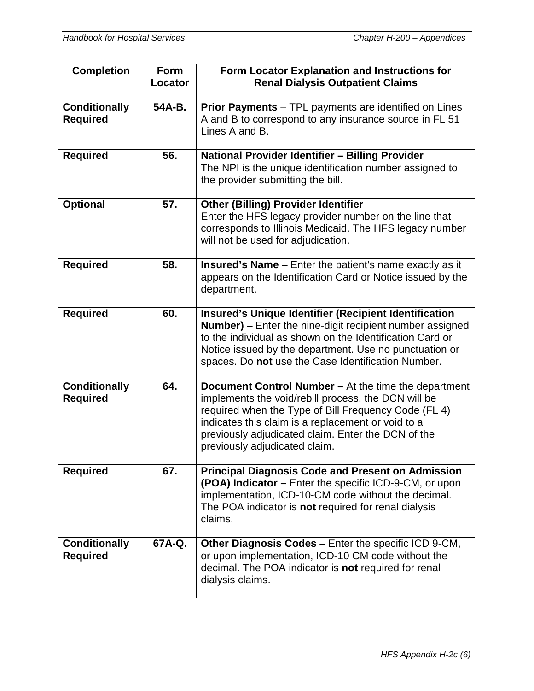| <b>Completion</b>                       | <b>Form</b><br>Locator | Form Locator Explanation and Instructions for<br><b>Renal Dialysis Outpatient Claims</b>                                                                                                                                                                                                                         |
|-----------------------------------------|------------------------|------------------------------------------------------------------------------------------------------------------------------------------------------------------------------------------------------------------------------------------------------------------------------------------------------------------|
| <b>Conditionally</b><br><b>Required</b> | 54A-B.                 | <b>Prior Payments</b> – TPL payments are identified on Lines<br>A and B to correspond to any insurance source in FL 51<br>Lines A and B.                                                                                                                                                                         |
| <b>Required</b>                         | 56.                    | National Provider Identifier - Billing Provider<br>The NPI is the unique identification number assigned to<br>the provider submitting the bill.                                                                                                                                                                  |
| <b>Optional</b>                         | 57.                    | <b>Other (Billing) Provider Identifier</b><br>Enter the HFS legacy provider number on the line that<br>corresponds to Illinois Medicaid. The HFS legacy number<br>will not be used for adjudication.                                                                                                             |
| <b>Required</b>                         | 58.                    | <b>Insured's Name</b> - Enter the patient's name exactly as it<br>appears on the Identification Card or Notice issued by the<br>department.                                                                                                                                                                      |
| <b>Required</b>                         | 60.                    | <b>Insured's Unique Identifier (Recipient Identification</b><br>Number) - Enter the nine-digit recipient number assigned<br>to the individual as shown on the Identification Card or<br>Notice issued by the department. Use no punctuation or<br>spaces. Do not use the Case Identification Number.             |
| <b>Conditionally</b><br><b>Required</b> | 64.                    | Document Control Number - At the time the department<br>implements the void/rebill process, the DCN will be<br>required when the Type of Bill Frequency Code (FL 4)<br>indicates this claim is a replacement or void to a<br>previously adjudicated claim. Enter the DCN of the<br>previously adjudicated claim. |
| <b>Required</b>                         | 67.                    | <b>Principal Diagnosis Code and Present on Admission</b><br>(POA) Indicator – Enter the specific ICD-9-CM, or upon<br>implementation, ICD-10-CM code without the decimal.<br>The POA indicator is not required for renal dialysis<br>claims.                                                                     |
| <b>Conditionally</b><br><b>Required</b> | 67A-Q.                 | Other Diagnosis Codes - Enter the specific ICD 9-CM,<br>or upon implementation, ICD-10 CM code without the<br>decimal. The POA indicator is not required for renal<br>dialysis claims.                                                                                                                           |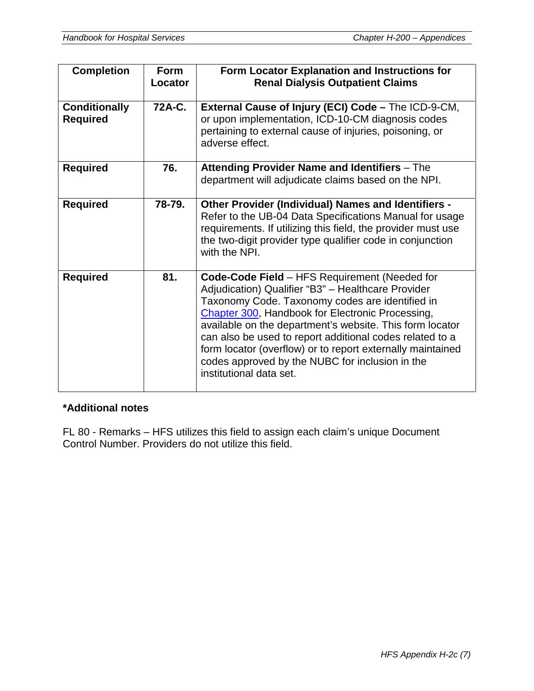| <b>Completion</b>                       | <b>Form</b><br>Locator | Form Locator Explanation and Instructions for<br><b>Renal Dialysis Outpatient Claims</b>                                                                                                                                                                                                                                                                                                                                                                                       |
|-----------------------------------------|------------------------|--------------------------------------------------------------------------------------------------------------------------------------------------------------------------------------------------------------------------------------------------------------------------------------------------------------------------------------------------------------------------------------------------------------------------------------------------------------------------------|
| <b>Conditionally</b><br><b>Required</b> | 72A-C.                 | External Cause of Injury (ECI) Code - The ICD-9-CM,<br>or upon implementation, ICD-10-CM diagnosis codes<br>pertaining to external cause of injuries, poisoning, or<br>adverse effect.                                                                                                                                                                                                                                                                                         |
| <b>Required</b>                         | 76.                    | Attending Provider Name and Identifiers - The<br>department will adjudicate claims based on the NPI.                                                                                                                                                                                                                                                                                                                                                                           |
| <b>Required</b>                         | 78-79.                 | <b>Other Provider (Individual) Names and Identifiers -</b><br>Refer to the UB-04 Data Specifications Manual for usage<br>requirements. If utilizing this field, the provider must use<br>the two-digit provider type qualifier code in conjunction<br>with the NPI.                                                                                                                                                                                                            |
| <b>Required</b>                         | 81.                    | Code-Code Field - HFS Requirement (Needed for<br>Adjudication) Qualifier "B3" - Healthcare Provider<br>Taxonomy Code. Taxonomy codes are identified in<br>Chapter 300, Handbook for Electronic Processing,<br>available on the department's website. This form locator<br>can also be used to report additional codes related to a<br>form locator (overflow) or to report externally maintained<br>codes approved by the NUBC for inclusion in the<br>institutional data set. |

#### **\*Additional notes**

FL 80 - Remarks – HFS utilizes this field to assign each claim's unique Document Control Number. Providers do not utilize this field.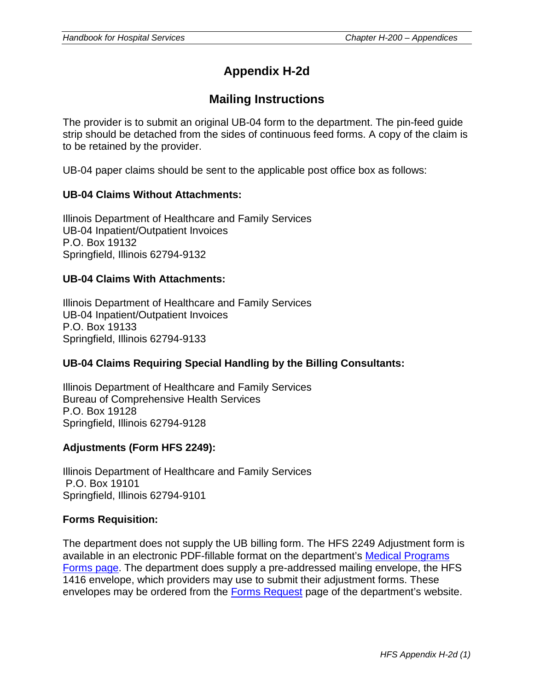# **Appendix H-2d**

## **Mailing Instructions**

The provider is to submit an original UB-04 form to the department. The pin-feed guide strip should be detached from the sides of continuous feed forms. A copy of the claim is to be retained by the provider.

UB-04 paper claims should be sent to the applicable post office box as follows:

#### **UB-04 Claims Without Attachments:**

Illinois Department of Healthcare and Family Services UB-04 Inpatient/Outpatient Invoices P.O. Box 19132 Springfield, Illinois 62794-9132

#### **UB-04 Claims With Attachments:**

Illinois Department of Healthcare and Family Services UB-04 Inpatient/Outpatient Invoices P.O. Box 19133 Springfield, Illinois 62794-9133

#### **UB-04 Claims Requiring Special Handling by the Billing Consultants:**

Illinois Department of Healthcare and Family Services Bureau of Comprehensive Health Services P.O. Box 19128 Springfield, Illinois 62794-9128

#### **Adjustments (Form HFS 2249):**

Illinois Department of Healthcare and Family Services P.O. Box 19101 Springfield, Illinois 62794-9101

#### **Forms Requisition:**

The department does not supply the UB billing form. The HFS 2249 Adjustment form is available in an electronic PDF-fillable format on the department's [Medical Programs](http://www.illinois.gov/hfs/MedicalClients/Pages/medicalprograms.aspx)  [Forms page.](http://www.illinois.gov/hfs/MedicalClients/Pages/medicalprograms.aspx) The department does supply a pre-addressed mailing envelope, the HFS 1416 envelope, which providers may use to submit their adjustment forms. These envelopes may be ordered from the [Forms Request](http://www.illinois.gov/hfs/MedicalProviders/Forms%20Request/Pages/default.aspx) page of the department's website.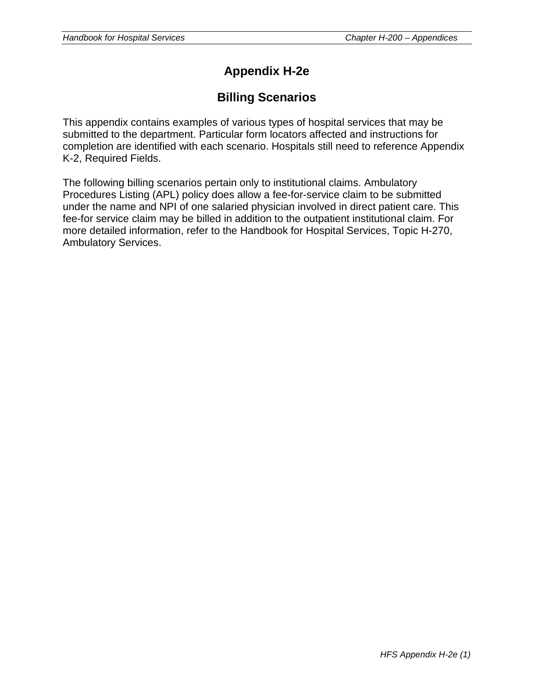# **Appendix H-2e**

## **Billing Scenarios**

This appendix contains examples of various types of hospital services that may be submitted to the department. Particular form locators affected and instructions for completion are identified with each scenario. Hospitals still need to reference Appendix K-2, Required Fields.

The following billing scenarios pertain only to institutional claims. Ambulatory Procedures Listing (APL) policy does allow a fee-for-service claim to be submitted under the name and NPI of one salaried physician involved in direct patient care. This fee-for service claim may be billed in addition to the outpatient institutional claim. For more detailed information, refer to the Handbook for Hospital Services, Topic H-270, Ambulatory Services.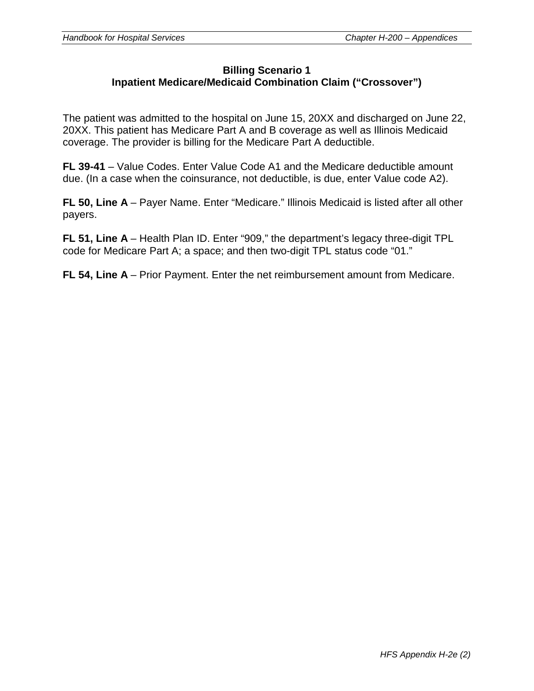#### **Billing Scenario 1 Inpatient Medicare/Medicaid Combination Claim ("Crossover")**

The patient was admitted to the hospital on June 15, 20XX and discharged on June 22, 20XX. This patient has Medicare Part A and B coverage as well as Illinois Medicaid coverage. The provider is billing for the Medicare Part A deductible.

**FL 39-41** – Value Codes. Enter Value Code A1 and the Medicare deductible amount due. (In a case when the coinsurance, not deductible, is due, enter Value code A2).

**FL 50, Line A** – Payer Name. Enter "Medicare." Illinois Medicaid is listed after all other payers.

**FL 51, Line A** – Health Plan ID. Enter "909," the department's legacy three-digit TPL code for Medicare Part A; a space; and then two-digit TPL status code "01."

**FL 54, Line A** – Prior Payment. Enter the net reimbursement amount from Medicare.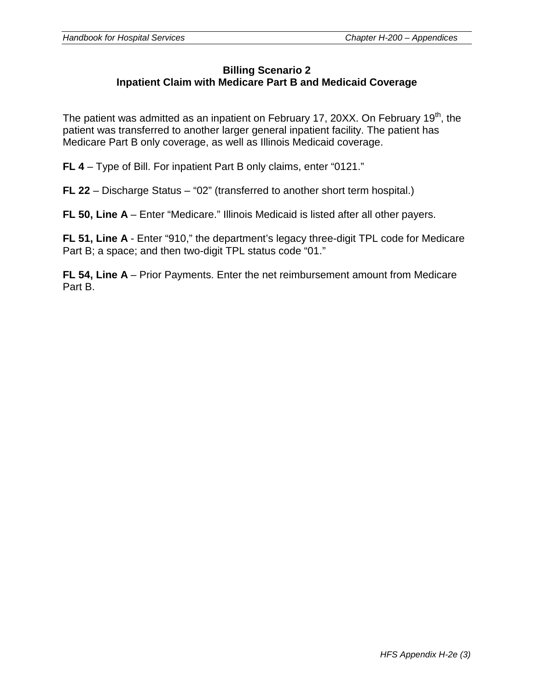#### **Billing Scenario 2 Inpatient Claim with Medicare Part B and Medicaid Coverage**

The patient was admitted as an inpatient on February 17, 20XX. On February 19<sup>th</sup>, the patient was transferred to another larger general inpatient facility. The patient has Medicare Part B only coverage, as well as Illinois Medicaid coverage.

**FL 4** – Type of Bill. For inpatient Part B only claims, enter "0121."

**FL 22** – Discharge Status – "02" (transferred to another short term hospital.)

**FL 50, Line A** – Enter "Medicare." Illinois Medicaid is listed after all other payers.

**FL 51, Line A** - Enter "910," the department's legacy three-digit TPL code for Medicare Part B; a space; and then two-digit TPL status code "01."

**FL 54, Line A** – Prior Payments. Enter the net reimbursement amount from Medicare Part B.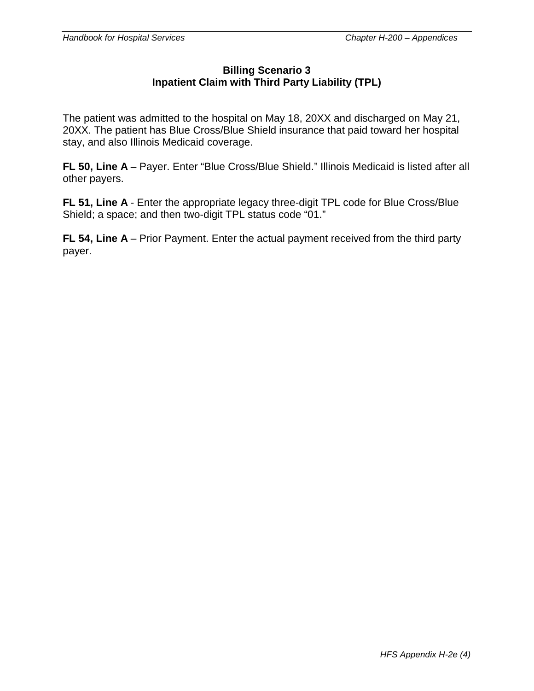#### **Billing Scenario 3 Inpatient Claim with Third Party Liability (TPL)**

The patient was admitted to the hospital on May 18, 20XX and discharged on May 21, 20XX. The patient has Blue Cross/Blue Shield insurance that paid toward her hospital stay, and also Illinois Medicaid coverage.

**FL 50, Line A** – Payer. Enter "Blue Cross/Blue Shield." Illinois Medicaid is listed after all other payers.

**FL 51, Line A** - Enter the appropriate legacy three-digit TPL code for Blue Cross/Blue Shield; a space; and then two-digit TPL status code "01."

**FL 54, Line A** – Prior Payment. Enter the actual payment received from the third party payer.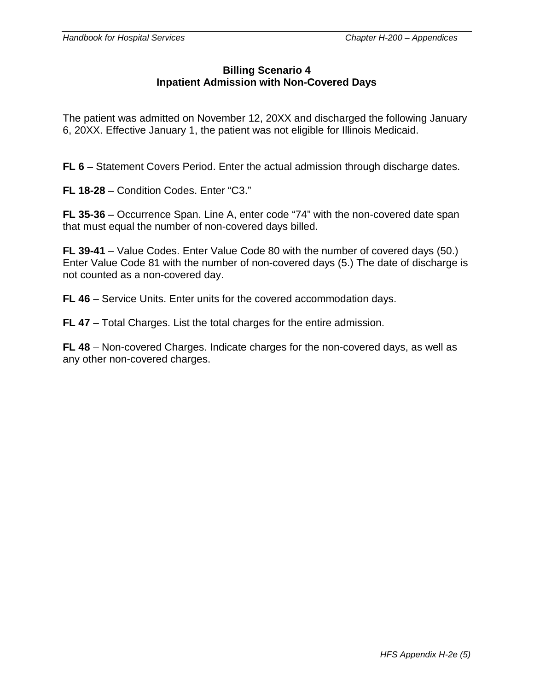#### **Billing Scenario 4 Inpatient Admission with Non-Covered Days**

The patient was admitted on November 12, 20XX and discharged the following January 6, 20XX. Effective January 1, the patient was not eligible for Illinois Medicaid.

**FL 6** – Statement Covers Period. Enter the actual admission through discharge dates.

**FL 18-28** – Condition Codes. Enter "C3."

**FL 35-36** – Occurrence Span. Line A, enter code "74" with the non-covered date span that must equal the number of non-covered days billed.

**FL 39-41** – Value Codes. Enter Value Code 80 with the number of covered days (50.) Enter Value Code 81 with the number of non-covered days (5.) The date of discharge is not counted as a non-covered day.

**FL 46** – Service Units. Enter units for the covered accommodation days.

**FL 47** – Total Charges. List the total charges for the entire admission.

**FL 48** – Non-covered Charges. Indicate charges for the non-covered days, as well as any other non-covered charges.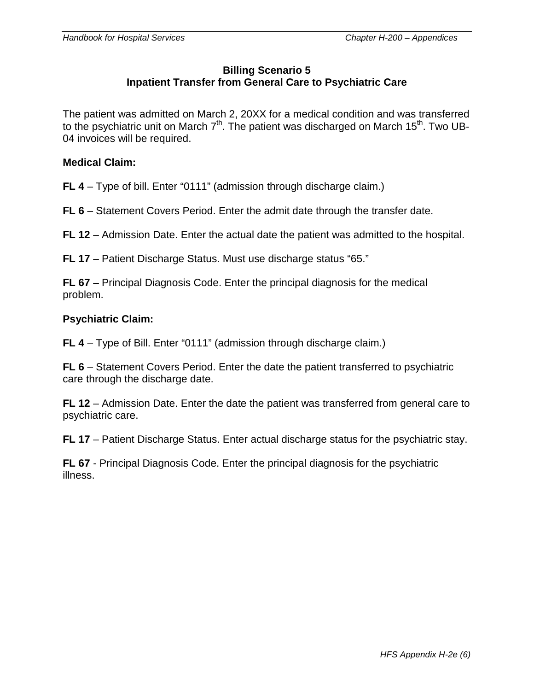#### **Billing Scenario 5 Inpatient Transfer from General Care to Psychiatric Care**

The patient was admitted on March 2, 20XX for a medical condition and was transferred to the psychiatric unit on March  $7<sup>th</sup>$ . The patient was discharged on March 15<sup>th</sup>. Two UB-04 invoices will be required.

#### **Medical Claim:**

**FL 4** – Type of bill. Enter "0111" (admission through discharge claim.)

**FL 6** – Statement Covers Period. Enter the admit date through the transfer date.

**FL 12** – Admission Date. Enter the actual date the patient was admitted to the hospital.

**FL 17** – Patient Discharge Status. Must use discharge status "65."

**FL 67** – Principal Diagnosis Code. Enter the principal diagnosis for the medical problem.

#### **Psychiatric Claim:**

**FL 4** – Type of Bill. Enter "0111" (admission through discharge claim.)

**FL 6** – Statement Covers Period. Enter the date the patient transferred to psychiatric care through the discharge date.

**FL 12** – Admission Date. Enter the date the patient was transferred from general care to psychiatric care.

**FL 17** – Patient Discharge Status. Enter actual discharge status for the psychiatric stay.

**FL 67** - Principal Diagnosis Code. Enter the principal diagnosis for the psychiatric illness.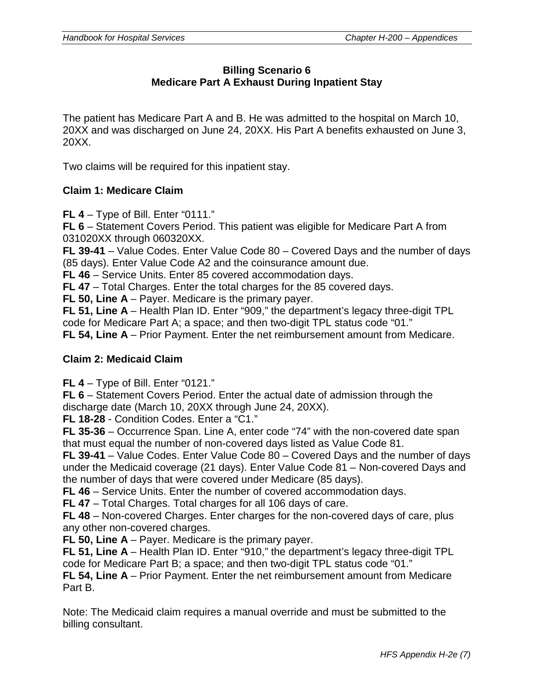## **Billing Scenario 6 Medicare Part A Exhaust During Inpatient Stay**

The patient has Medicare Part A and B. He was admitted to the hospital on March 10, 20XX and was discharged on June 24, 20XX. His Part A benefits exhausted on June 3, 20XX.

Two claims will be required for this inpatient stay.

#### **Claim 1: Medicare Claim**

**FL 4** – Type of Bill. Enter "0111."

**FL 6** – Statement Covers Period. This patient was eligible for Medicare Part A from 031020XX through 060320XX.

**FL 39-41** – Value Codes. Enter Value Code 80 – Covered Days and the number of days (85 days). Enter Value Code A2 and the coinsurance amount due.

**FL 46** – Service Units. Enter 85 covered accommodation days.

**FL 47** – Total Charges. Enter the total charges for the 85 covered days.

**FL 50, Line A** – Payer. Medicare is the primary payer.

**FL 51, Line A** – Health Plan ID. Enter "909," the department's legacy three-digit TPL code for Medicare Part A; a space; and then two-digit TPL status code "01."

**FL 54, Line A** – Prior Payment. Enter the net reimbursement amount from Medicare.

#### **Claim 2: Medicaid Claim**

**FL 4** – Type of Bill. Enter "0121."

**FL 6** – Statement Covers Period. Enter the actual date of admission through the discharge date (March 10, 20XX through June 24, 20XX).

**FL 18-28** - Condition Codes. Enter a "C1."

**FL 35-36** – Occurrence Span. Line A, enter code "74" with the non-covered date span that must equal the number of non-covered days listed as Value Code 81.

**FL 39-41** – Value Codes. Enter Value Code 80 – Covered Days and the number of days under the Medicaid coverage (21 days). Enter Value Code 81 – Non-covered Days and the number of days that were covered under Medicare (85 days).

**FL 46** – Service Units. Enter the number of covered accommodation days.

**FL 47** – Total Charges. Total charges for all 106 days of care.

**FL 48** – Non-covered Charges. Enter charges for the non-covered days of care, plus any other non-covered charges.

**FL 50, Line A** – Payer. Medicare is the primary payer.

**FL 51, Line A** – Health Plan ID. Enter "910," the department's legacy three-digit TPL code for Medicare Part B; a space; and then two-digit TPL status code "01."

**FL 54, Line A** – Prior Payment. Enter the net reimbursement amount from Medicare Part B.

Note: The Medicaid claim requires a manual override and must be submitted to the billing consultant.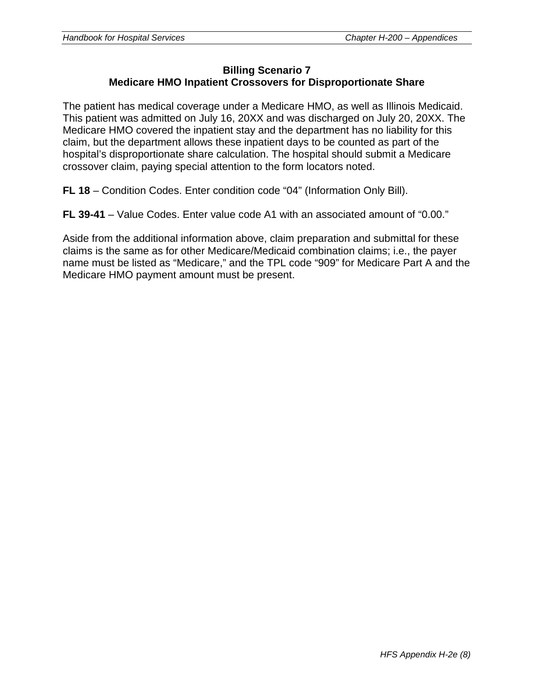#### **Billing Scenario 7 Medicare HMO Inpatient Crossovers for Disproportionate Share**

The patient has medical coverage under a Medicare HMO, as well as Illinois Medicaid. This patient was admitted on July 16, 20XX and was discharged on July 20, 20XX. The Medicare HMO covered the inpatient stay and the department has no liability for this claim, but the department allows these inpatient days to be counted as part of the hospital's disproportionate share calculation. The hospital should submit a Medicare crossover claim, paying special attention to the form locators noted.

**FL 18** – Condition Codes. Enter condition code "04" (Information Only Bill).

**FL 39-41** – Value Codes. Enter value code A1 with an associated amount of "0.00."

Aside from the additional information above, claim preparation and submittal for these claims is the same as for other Medicare/Medicaid combination claims; i.e., the payer name must be listed as "Medicare," and the TPL code "909" for Medicare Part A and the Medicare HMO payment amount must be present.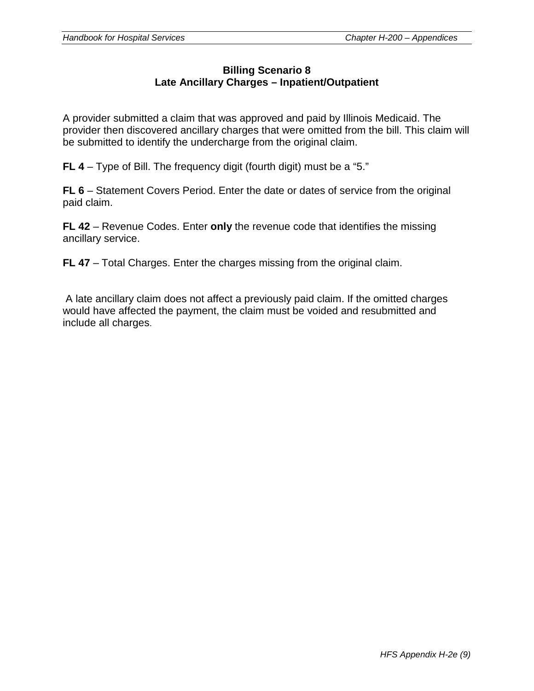#### **Billing Scenario 8 Late Ancillary Charges – Inpatient/Outpatient**

A provider submitted a claim that was approved and paid by Illinois Medicaid. The provider then discovered ancillary charges that were omitted from the bill. This claim will be submitted to identify the undercharge from the original claim.

**FL 4** – Type of Bill. The frequency digit (fourth digit) must be a "5."

**FL 6** – Statement Covers Period. Enter the date or dates of service from the original paid claim.

**FL 42** – Revenue Codes. Enter **only** the revenue code that identifies the missing ancillary service.

**FL 47** – Total Charges. Enter the charges missing from the original claim.

A late ancillary claim does not affect a previously paid claim. If the omitted charges would have affected the payment, the claim must be voided and resubmitted and include all charges.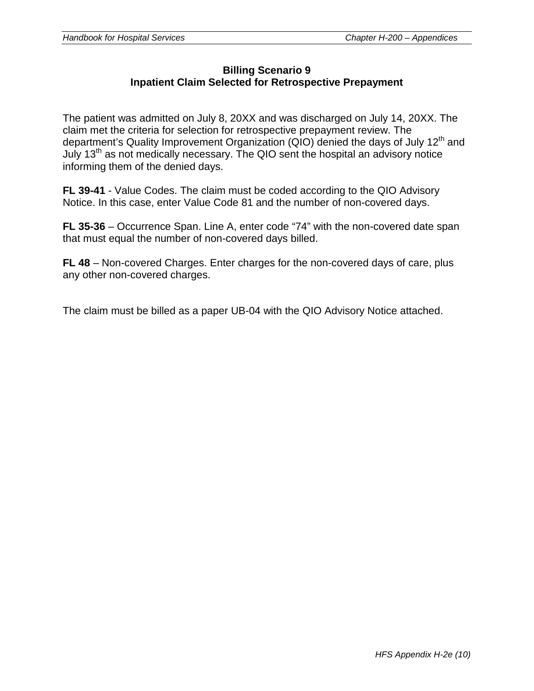#### **Billing Scenario 9 Inpatient Claim Selected for Retrospective Prepayment**

The patient was admitted on July 8, 20XX and was discharged on July 14, 20XX. The claim met the criteria for selection for retrospective prepayment review. The department's Quality Improvement Organization (QIO) denied the days of July  $12<sup>th</sup>$  and July  $13<sup>th</sup>$  as not medically necessary. The QIO sent the hospital an advisory notice informing them of the denied days.

**FL 39-41** - Value Codes. The claim must be coded according to the QIO Advisory Notice. In this case, enter Value Code 81 and the number of non-covered days.

**FL 35-36** – Occurrence Span. Line A, enter code "74" with the non-covered date span that must equal the number of non-covered days billed.

**FL 48** – Non-covered Charges. Enter charges for the non-covered days of care, plus any other non-covered charges.

The claim must be billed as a paper UB-04 with the QIO Advisory Notice attached.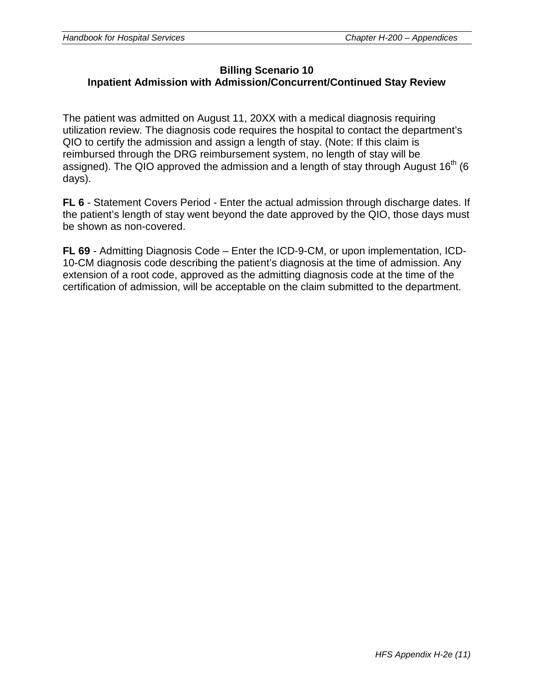#### **Billing Scenario 10 Inpatient Admission with Admission/Concurrent/Continued Stay Review**

The patient was admitted on August 11, 20XX with a medical diagnosis requiring utilization review. The diagnosis code requires the hospital to contact the department's QIO to certify the admission and assign a length of stay. (Note: If this claim is reimbursed through the DRG reimbursement system, no length of stay will be assigned). The QIO approved the admission and a length of stay through August  $16<sup>th</sup>$  (6 days).

**FL 6** - Statement Covers Period - Enter the actual admission through discharge dates. If the patient's length of stay went beyond the date approved by the QIO, those days must be shown as non-covered.

**FL 69** - Admitting Diagnosis Code – Enter the ICD-9-CM, or upon implementation, ICD-10-CM diagnosis code describing the patient's diagnosis at the time of admission. Any extension of a root code, approved as the admitting diagnosis code at the time of the certification of admission, will be acceptable on the claim submitted to the department.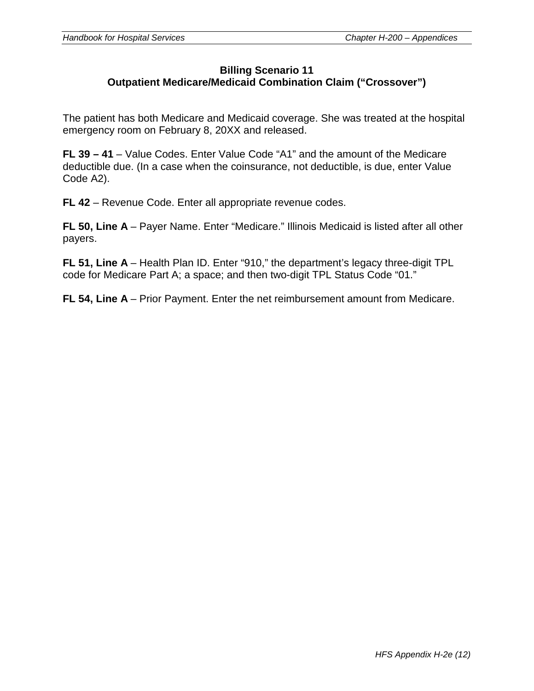#### **Billing Scenario 11 Outpatient Medicare/Medicaid Combination Claim ("Crossover")**

The patient has both Medicare and Medicaid coverage. She was treated at the hospital emergency room on February 8, 20XX and released.

**FL 39 – 41** – Value Codes. Enter Value Code "A1" and the amount of the Medicare deductible due. (In a case when the coinsurance, not deductible, is due, enter Value Code A2).

**FL 42** – Revenue Code. Enter all appropriate revenue codes.

**FL 50, Line A** – Payer Name. Enter "Medicare." Illinois Medicaid is listed after all other payers.

**FL 51, Line A** – Health Plan ID. Enter "910," the department's legacy three-digit TPL code for Medicare Part A; a space; and then two-digit TPL Status Code "01."

**FL 54, Line A** – Prior Payment. Enter the net reimbursement amount from Medicare.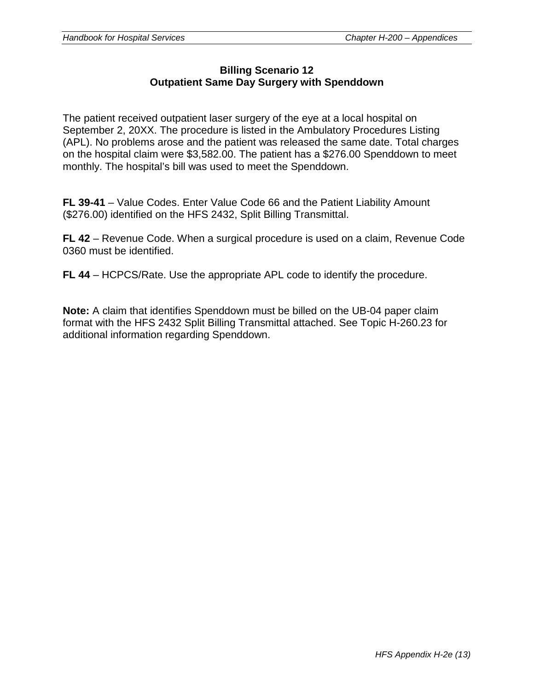#### **Billing Scenario 12 Outpatient Same Day Surgery with Spenddown**

The patient received outpatient laser surgery of the eye at a local hospital on September 2, 20XX. The procedure is listed in the Ambulatory Procedures Listing (APL). No problems arose and the patient was released the same date. Total charges on the hospital claim were \$3,582.00. The patient has a \$276.00 Spenddown to meet monthly. The hospital's bill was used to meet the Spenddown.

**FL 39-41** – Value Codes. Enter Value Code 66 and the Patient Liability Amount (\$276.00) identified on the HFS 2432, Split Billing Transmittal.

**FL 42** – Revenue Code. When a surgical procedure is used on a claim, Revenue Code 0360 must be identified.

**FL 44** – HCPCS/Rate. Use the appropriate APL code to identify the procedure.

**Note:** A claim that identifies Spenddown must be billed on the UB-04 paper claim format with the HFS 2432 Split Billing Transmittal attached. See Topic H-260.23 for additional information regarding Spenddown.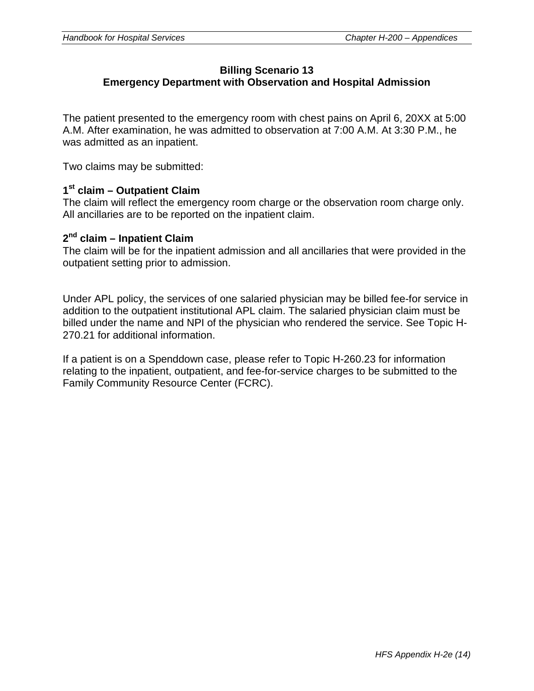## **Billing Scenario 13**

## **Emergency Department with Observation and Hospital Admission**

The patient presented to the emergency room with chest pains on April 6, 20XX at 5:00 A.M. After examination, he was admitted to observation at 7:00 A.M. At 3:30 P.M., he was admitted as an inpatient.

Two claims may be submitted:

#### **1st claim – Outpatient Claim**

The claim will reflect the emergency room charge or the observation room charge only. All ancillaries are to be reported on the inpatient claim.

#### **2nd claim – Inpatient Claim**

The claim will be for the inpatient admission and all ancillaries that were provided in the outpatient setting prior to admission.

Under APL policy, the services of one salaried physician may be billed fee-for service in addition to the outpatient institutional APL claim. The salaried physician claim must be billed under the name and NPI of the physician who rendered the service. See Topic H-270.21 for additional information.

If a patient is on a Spenddown case, please refer to Topic H-260.23 for information relating to the inpatient, outpatient, and fee-for-service charges to be submitted to the Family Community Resource Center (FCRC).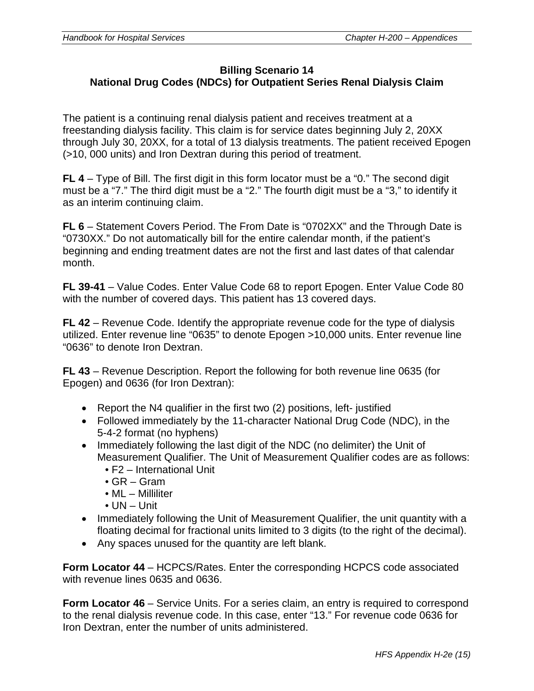### **Billing Scenario 14 National Drug Codes (NDCs) for Outpatient Series Renal Dialysis Claim**

The patient is a continuing renal dialysis patient and receives treatment at a freestanding dialysis facility. This claim is for service dates beginning July 2, 20XX through July 30, 20XX, for a total of 13 dialysis treatments. The patient received Epogen (>10, 000 units) and Iron Dextran during this period of treatment.

**FL 4** – Type of Bill. The first digit in this form locator must be a "0." The second digit must be a "7." The third digit must be a "2." The fourth digit must be a "3," to identify it as an interim continuing claim.

**FL 6** – Statement Covers Period. The From Date is "0702XX" and the Through Date is "0730XX." Do not automatically bill for the entire calendar month, if the patient's beginning and ending treatment dates are not the first and last dates of that calendar month.

**FL 39-41** – Value Codes. Enter Value Code 68 to report Epogen. Enter Value Code 80 with the number of covered days. This patient has 13 covered days.

**FL 42** – Revenue Code. Identify the appropriate revenue code for the type of dialysis utilized. Enter revenue line "0635" to denote Epogen >10,000 units. Enter revenue line "0636" to denote Iron Dextran.

**FL 43** – Revenue Description. Report the following for both revenue line 0635 (for Epogen) and 0636 (for Iron Dextran):

- Report the N4 qualifier in the first two (2) positions, left- justified
- Followed immediately by the 11-character National Drug Code (NDC), in the 5-4-2 format (no hyphens)
- Immediately following the last digit of the NDC (no delimiter) the Unit of Measurement Qualifier. The Unit of Measurement Qualifier codes are as follows:
	- F2 International Unit
	- GR Gram
	- ML Milliliter
	- UN Unit
- Immediately following the Unit of Measurement Qualifier, the unit quantity with a floating decimal for fractional units limited to 3 digits (to the right of the decimal).
- Any spaces unused for the quantity are left blank.

**Form Locator 44** – HCPCS/Rates. Enter the corresponding HCPCS code associated with revenue lines 0635 and 0636.

**Form Locator 46** – Service Units. For a series claim, an entry is required to correspond to the renal dialysis revenue code. In this case, enter "13." For revenue code 0636 for Iron Dextran, enter the number of units administered.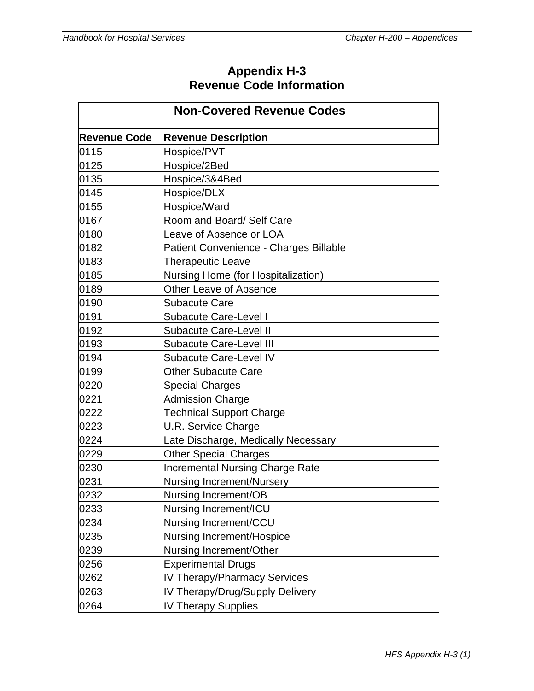## **Appendix H-3 Revenue Code Information**

| <b>Non-Covered Revenue Codes</b> |                                        |  |  |
|----------------------------------|----------------------------------------|--|--|
| <b>Revenue Code</b>              | <b>Revenue Description</b>             |  |  |
| 0115                             | Hospice/PVT                            |  |  |
| 0125                             | Hospice/2Bed                           |  |  |
| 0135                             | Hospice/3&4Bed                         |  |  |
| 0145                             | Hospice/DLX                            |  |  |
| 0155                             | Hospice/Ward                           |  |  |
| 0167                             | Room and Board/ Self Care              |  |  |
| 0180                             | Leave of Absence or LOA                |  |  |
| 0182                             | Patient Convenience - Charges Billable |  |  |
| 0183                             | <b>Therapeutic Leave</b>               |  |  |
| 0185                             | Nursing Home (for Hospitalization)     |  |  |
| 0189                             | Other Leave of Absence                 |  |  |
| 0190                             | <b>Subacute Care</b>                   |  |  |
| 0191                             | <b>Subacute Care-Level I</b>           |  |  |
| 0192                             | <b>Subacute Care-Level II</b>          |  |  |
| 0193                             | <b>Subacute Care-Level III</b>         |  |  |
| 0194                             | <b>Subacute Care-Level IV</b>          |  |  |
| 0199                             | <b>Other Subacute Care</b>             |  |  |
| 0220                             | <b>Special Charges</b>                 |  |  |
| 0221                             | <b>Admission Charge</b>                |  |  |
| 0222                             | <b>Technical Support Charge</b>        |  |  |
| 0223                             | U.R. Service Charge                    |  |  |
| 0224                             | Late Discharge, Medically Necessary    |  |  |
| 0229                             | <b>Other Special Charges</b>           |  |  |
| 0230                             | <b>Incremental Nursing Charge Rate</b> |  |  |
| 0231                             | <b>Nursing Increment/Nursery</b>       |  |  |
| 0232                             | Nursing Increment/OB                   |  |  |
| 0233                             | Nursing Increment/ICU                  |  |  |
| 0234                             | Nursing Increment/CCU                  |  |  |
| 0235                             | Nursing Increment/Hospice              |  |  |
| 0239                             | Nursing Increment/Other                |  |  |
| 0256                             | <b>Experimental Drugs</b>              |  |  |
| 0262                             | IV Therapy/Pharmacy Services           |  |  |
| 0263                             | IV Therapy/Drug/Supply Delivery        |  |  |
| 0264                             | <b>IV Therapy Supplies</b>             |  |  |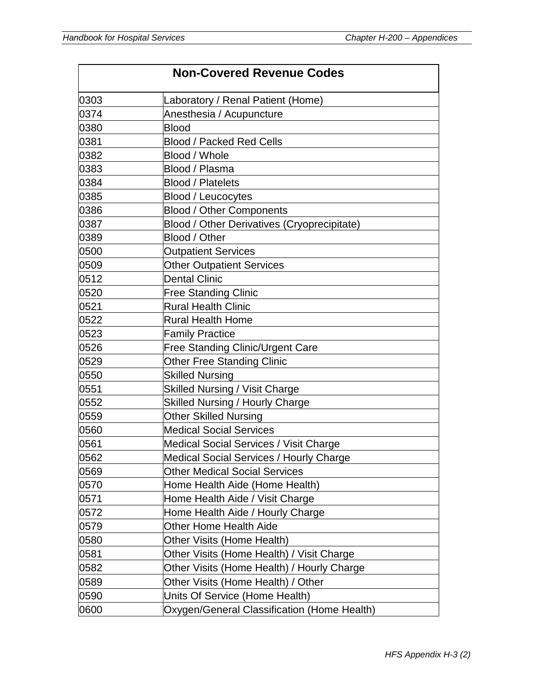|      | <b>Non-Covered Revenue Codes</b>            |
|------|---------------------------------------------|
| 0303 | Laboratory / Renal Patient (Home)           |
| 0374 | Anesthesia / Acupuncture                    |
| 0380 | <b>Blood</b>                                |
| 0381 | <b>Blood / Packed Red Cells</b>             |
| 0382 | Blood / Whole                               |
| 0383 | Blood / Plasma                              |
| 0384 | <b>Blood / Platelets</b>                    |
| 0385 | <b>Blood / Leucocytes</b>                   |
| 0386 | <b>Blood / Other Components</b>             |
| 0387 | Blood / Other Derivatives (Cryoprecipitate) |
| 0389 | Blood / Other                               |
| 0500 | <b>Outpatient Services</b>                  |
| 0509 | <b>Other Outpatient Services</b>            |
| 0512 | <b>Dental Clinic</b>                        |
| 0520 | <b>Free Standing Clinic</b>                 |
| 0521 | <b>Rural Health Clinic</b>                  |
| 0522 | <b>Rural Health Home</b>                    |
| 0523 | <b>Family Practice</b>                      |
| 0526 | Free Standing Clinic/Urgent Care            |
| 0529 | <b>Other Free Standing Clinic</b>           |
| 0550 | <b>Skilled Nursing</b>                      |
| 0551 | <b>Skilled Nursing / Visit Charge</b>       |
| 0552 | <b>Skilled Nursing / Hourly Charge</b>      |
| 0559 | <b>Other Skilled Nursing</b>                |
| 0560 | <b>Medical Social Services</b>              |
| 0561 | Medical Social Services / Visit Charge      |
| 0562 | Medical Social Services / Hourly Charge     |
| 0569 | <b>Other Medical Social Services</b>        |
| 0570 | Home Health Aide (Home Health)              |
| 0571 | Home Health Aide / Visit Charge             |
| 0572 | Home Health Aide / Hourly Charge            |
| 0579 | <b>Other Home Health Aide</b>               |
| 0580 | Other Visits (Home Health)                  |
| 0581 | Other Visits (Home Health) / Visit Charge   |
| 0582 | Other Visits (Home Health) / Hourly Charge  |
| 0589 | Other Visits (Home Health) / Other          |
| 0590 | Units Of Service (Home Health)              |
| 0600 | Oxygen/General Classification (Home Health) |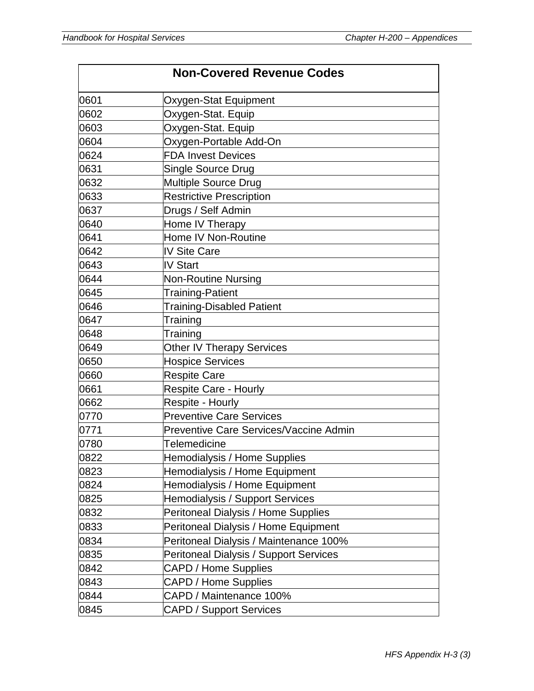|      | <b>Non-Covered Revenue Codes</b>              |
|------|-----------------------------------------------|
| 0601 | Oxygen-Stat Equipment                         |
| 0602 | Oxygen-Stat. Equip                            |
| 0603 | Oxygen-Stat. Equip                            |
| 0604 | Oxygen-Portable Add-On                        |
| 0624 | <b>FDA Invest Devices</b>                     |
| 0631 | <b>Single Source Drug</b>                     |
| 0632 | <b>Multiple Source Drug</b>                   |
| 0633 | <b>Restrictive Prescription</b>               |
| 0637 | Drugs / Self Admin                            |
| 0640 | Home IV Therapy                               |
| 0641 | Home IV Non-Routine                           |
| 0642 | <b>IV Site Care</b>                           |
| 0643 | <b>IV Start</b>                               |
| 0644 | <b>Non-Routine Nursing</b>                    |
| 0645 | <b>Training-Patient</b>                       |
| 0646 | <b>Training-Disabled Patient</b>              |
| 0647 | Training                                      |
| 0648 | Training                                      |
| 0649 | <b>Other IV Therapy Services</b>              |
| 0650 | <b>Hospice Services</b>                       |
| 0660 | <b>Respite Care</b>                           |
| 0661 | <b>Respite Care - Hourly</b>                  |
| 0662 | <b>Respite - Hourly</b>                       |
| 0770 | <b>Preventive Care Services</b>               |
| 0771 | <b>Preventive Care Services/Vaccine Admin</b> |
| 0780 | Telemedicine                                  |
| 0822 | Hemodialysis / Home Supplies                  |
| 0823 | Hemodialysis / Home Equipment                 |
| 0824 | Hemodialysis / Home Equipment                 |
| 0825 | Hemodialysis / Support Services               |
| 0832 | Peritoneal Dialysis / Home Supplies           |
| 0833 | Peritoneal Dialysis / Home Equipment          |
| 0834 | Peritoneal Dialysis / Maintenance 100%        |
| 0835 | Peritoneal Dialysis / Support Services        |
| 0842 | <b>CAPD / Home Supplies</b>                   |
| 0843 | CAPD / Home Supplies                          |
| 0844 | CAPD / Maintenance 100%                       |
| 0845 | <b>CAPD / Support Services</b>                |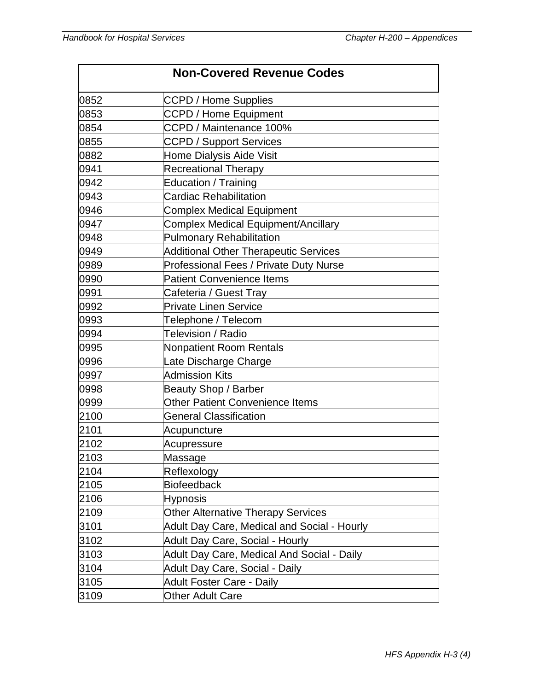|      | <b>Non-Covered Revenue Codes</b>             |
|------|----------------------------------------------|
| 0852 | <b>CCPD / Home Supplies</b>                  |
| 0853 | <b>CCPD / Home Equipment</b>                 |
| 0854 | CCPD / Maintenance 100%                      |
| 0855 | <b>CCPD / Support Services</b>               |
| 0882 | Home Dialysis Aide Visit                     |
| 0941 | <b>Recreational Therapy</b>                  |
| 0942 | Education / Training                         |
| 0943 | <b>Cardiac Rehabilitation</b>                |
| 0946 | <b>Complex Medical Equipment</b>             |
| 0947 | Complex Medical Equipment/Ancillary          |
| 0948 | <b>Pulmonary Rehabilitation</b>              |
| 0949 | <b>Additional Other Therapeutic Services</b> |
| 0989 | Professional Fees / Private Duty Nurse       |
| 0990 | <b>Patient Convenience Items</b>             |
| 0991 | Cafeteria / Guest Tray                       |
| 0992 | <b>Private Linen Service</b>                 |
| 0993 | Telephone / Telecom                          |
| 0994 | Television / Radio                           |
| 0995 | <b>Nonpatient Room Rentals</b>               |
| 0996 | Late Discharge Charge                        |
| 0997 | <b>Admission Kits</b>                        |
| 0998 | <b>Beauty Shop / Barber</b>                  |
| 0999 | <b>Other Patient Convenience Items</b>       |
| 2100 | <b>General Classification</b>                |
| 2101 | Acupuncture                                  |
| 2102 | Acupressure                                  |
| 2103 | Massage                                      |
| 2104 | Reflexology                                  |
| 2105 | <b>Biofeedback</b>                           |
| 2106 | <b>Hypnosis</b>                              |
| 2109 | <b>Other Alternative Therapy Services</b>    |
| 3101 | Adult Day Care, Medical and Social - Hourly  |
| 3102 | Adult Day Care, Social - Hourly              |
| 3103 | Adult Day Care, Medical And Social - Daily   |
| 3104 | Adult Day Care, Social - Daily               |
| 3105 | <b>Adult Foster Care - Daily</b>             |
| 3109 | <b>Other Adult Care</b>                      |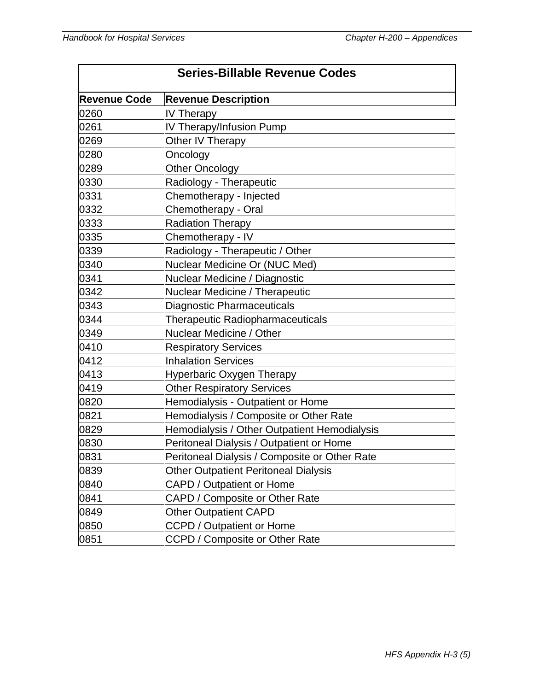|                     | <b>Series-Billable Revenue Codes</b>          |
|---------------------|-----------------------------------------------|
| <b>Revenue Code</b> | <b>Revenue Description</b>                    |
| 0260                | IV Therapy                                    |
| 0261                | IV Therapy/Infusion Pump                      |
| 0269                | Other IV Therapy                              |
| 0280                | Oncology                                      |
| 0289                | <b>Other Oncology</b>                         |
| 0330                | Radiology - Therapeutic                       |
| 0331                | Chemotherapy - Injected                       |
| 0332                | Chemotherapy - Oral                           |
| 0333                | <b>Radiation Therapy</b>                      |
| 0335                | Chemotherapy - IV                             |
| 0339                | Radiology - Therapeutic / Other               |
| 0340                | Nuclear Medicine Or (NUC Med)                 |
| 0341                | Nuclear Medicine / Diagnostic                 |
| 0342                | Nuclear Medicine / Therapeutic                |
| 0343                | <b>Diagnostic Pharmaceuticals</b>             |
| 0344                | <b>Therapeutic Radiopharmaceuticals</b>       |
| 0349                | Nuclear Medicine / Other                      |
| 0410                | <b>Respiratory Services</b>                   |
| 0412                | <b>Inhalation Services</b>                    |
| 0413                | Hyperbaric Oxygen Therapy                     |
| 0419                | <b>Other Respiratory Services</b>             |
| 0820                | Hemodialysis - Outpatient or Home             |
| 0821                | Hemodialysis / Composite or Other Rate        |
| 0829                | Hemodialysis / Other Outpatient Hemodialysis  |
| 0830                | Peritoneal Dialysis / Outpatient or Home      |
| 0831                | Peritoneal Dialysis / Composite or Other Rate |
| 0839                | <b>Other Outpatient Peritoneal Dialysis</b>   |
| 0840                | <b>CAPD / Outpatient or Home</b>              |
| 0841                | CAPD / Composite or Other Rate                |
| 0849                | <b>Other Outpatient CAPD</b>                  |
| 0850                | <b>CCPD / Outpatient or Home</b>              |
| 0851                | CCPD / Composite or Other Rate                |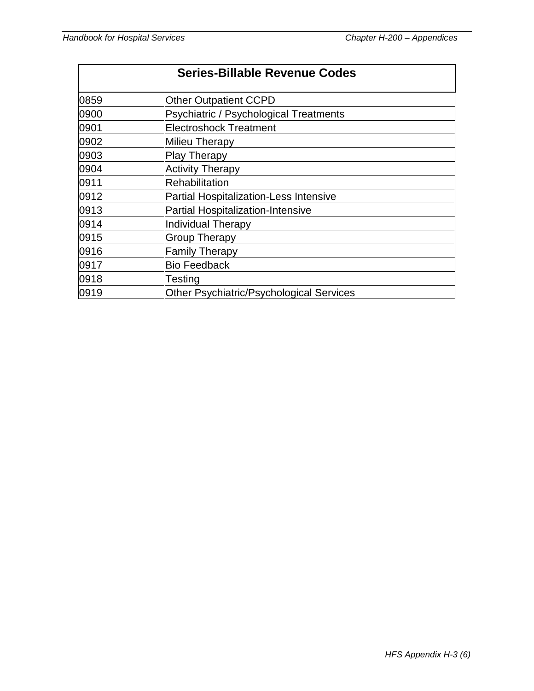|      | <b>Series-Billable Revenue Codes</b>          |  |
|------|-----------------------------------------------|--|
| 0859 | <b>Other Outpatient CCPD</b>                  |  |
| 0900 | Psychiatric / Psychological Treatments        |  |
| 0901 | <b>Electroshock Treatment</b>                 |  |
| 0902 | Milieu Therapy                                |  |
| 0903 | <b>Play Therapy</b>                           |  |
| 0904 | <b>Activity Therapy</b>                       |  |
| 0911 | <b>Rehabilitation</b>                         |  |
| 0912 | <b>Partial Hospitalization-Less Intensive</b> |  |
| 0913 | <b>Partial Hospitalization-Intensive</b>      |  |
| 0914 | Individual Therapy                            |  |
| 0915 | <b>Group Therapy</b>                          |  |
| 0916 | <b>Family Therapy</b>                         |  |
| 0917 | <b>Bio Feedback</b>                           |  |
| 0918 | Testing                                       |  |
| 0919 | Other Psychiatric/Psychological Services      |  |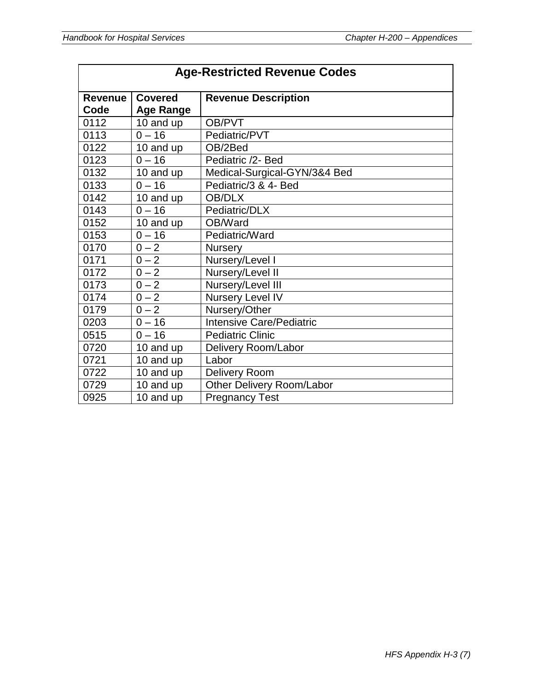| <b>Age-Restricted Revenue Codes</b> |                  |                                 |
|-------------------------------------|------------------|---------------------------------|
| <b>Revenue</b>                      | <b>Covered</b>   | <b>Revenue Description</b>      |
| Code                                | <b>Age Range</b> |                                 |
| 0112                                | 10 and up        | OB/PVT                          |
| 0113                                | $0 - 16$         | Pediatric/PVT                   |
| 0122                                | 10 and up        | OB/2Bed                         |
| 0123                                | $0 - 16$         | Pediatric /2- Bed               |
| 0132                                | 10 and up        | Medical-Surgical-GYN/3&4 Bed    |
| 0133                                | $0 - 16$         | Pediatric/3 & 4- Bed            |
| 0142                                | 10 and up        | <b>OB/DLX</b>                   |
| 0143                                | $0 - 16$         | Pediatric/DLX                   |
| 0152                                | 10 and up        | OB/Ward                         |
| 0153                                | $0 - 16$         | Pediatric/Ward                  |
| 0170                                | $0 - 2$          | <b>Nursery</b>                  |
| 0171                                | $0 - 2$          | Nursery/Level I                 |
| 0172                                | $0 - 2$          | Nursery/Level II                |
| 0173                                | $0 - 2$          | Nursery/Level III               |
| 0174                                | $0 - 2$          | Nursery Level IV                |
| 0179                                | $0 - 2$          | Nursery/Other                   |
| 0203                                | $0 - 16$         | <b>Intensive Care/Pediatric</b> |
| 0515                                | $0 - 16$         | <b>Pediatric Clinic</b>         |
| 0720                                | 10 and up        | Delivery Room/Labor             |
| 0721                                | 10 and up        | Labor                           |
| 0722                                | 10 and up        | <b>Delivery Room</b>            |
| 0729                                | 10 and up        | Other Delivery Room/Labor       |
| 0925                                | 10 and up        | <b>Pregnancy Test</b>           |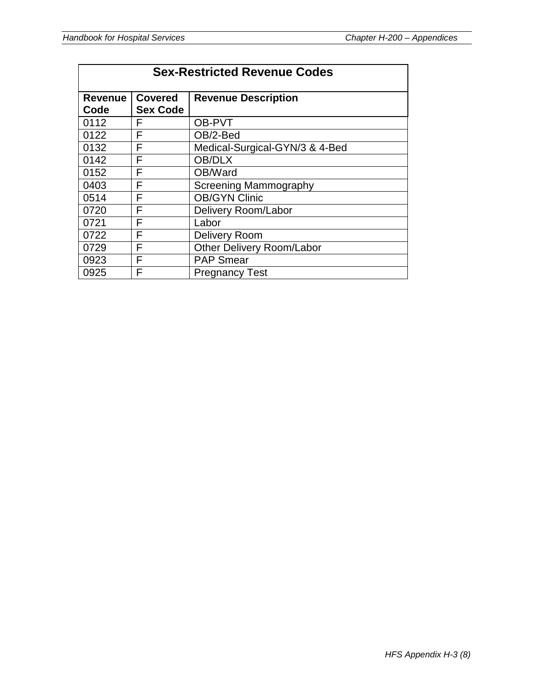| <b>Sex-Restricted Revenue Codes</b> |                                   |                                  |
|-------------------------------------|-----------------------------------|----------------------------------|
| <b>Revenue</b><br>Code              | <b>Covered</b><br><b>Sex Code</b> | <b>Revenue Description</b>       |
| 0112                                | F                                 | OB-PVT                           |
| 0122                                | F                                 | OB/2-Bed                         |
| 0132                                | F                                 | Medical-Surgical-GYN/3 & 4-Bed   |
| 0142                                | F                                 | OB/DLX                           |
| 0152                                | F                                 | OB/Ward                          |
| 0403                                | F                                 | <b>Screening Mammography</b>     |
| 0514                                | F                                 | <b>OB/GYN Clinic</b>             |
| 0720                                | F                                 | Delivery Room/Labor              |
| 0721                                | F                                 | Labor                            |
| 0722                                | F                                 | Delivery Room                    |
| 0729                                | F                                 | <b>Other Delivery Room/Labor</b> |
| 0923                                | F                                 | <b>PAP Smear</b>                 |
| 0925                                | F                                 | <b>Pregnancy Test</b>            |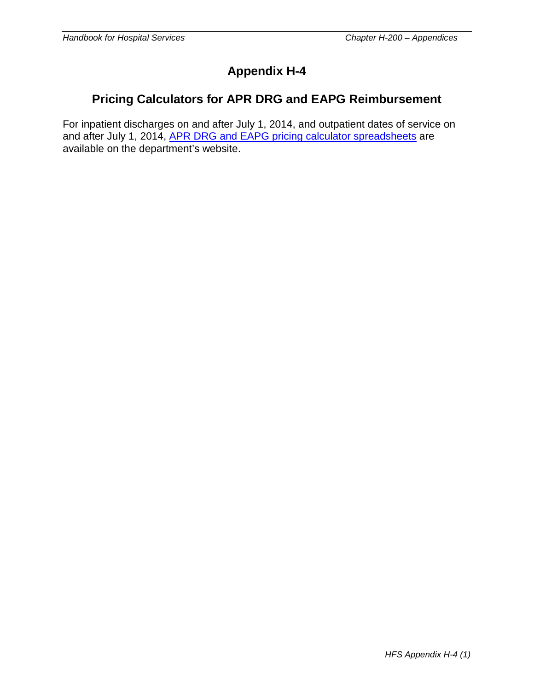# **Appendix H-4**

# **Pricing Calculators for APR DRG and EAPG Reimbursement**

For inpatient discharges on and after July 1, 2014, and outpatient dates of service on and after July 1, 2014, [APR DRG and EAPG pricing calculator spreadsheets](http://www.illinois.gov/hfs/MedicalProviders/hospitals/hospitalratereform/Pages/default.aspx) are available on the department's website.